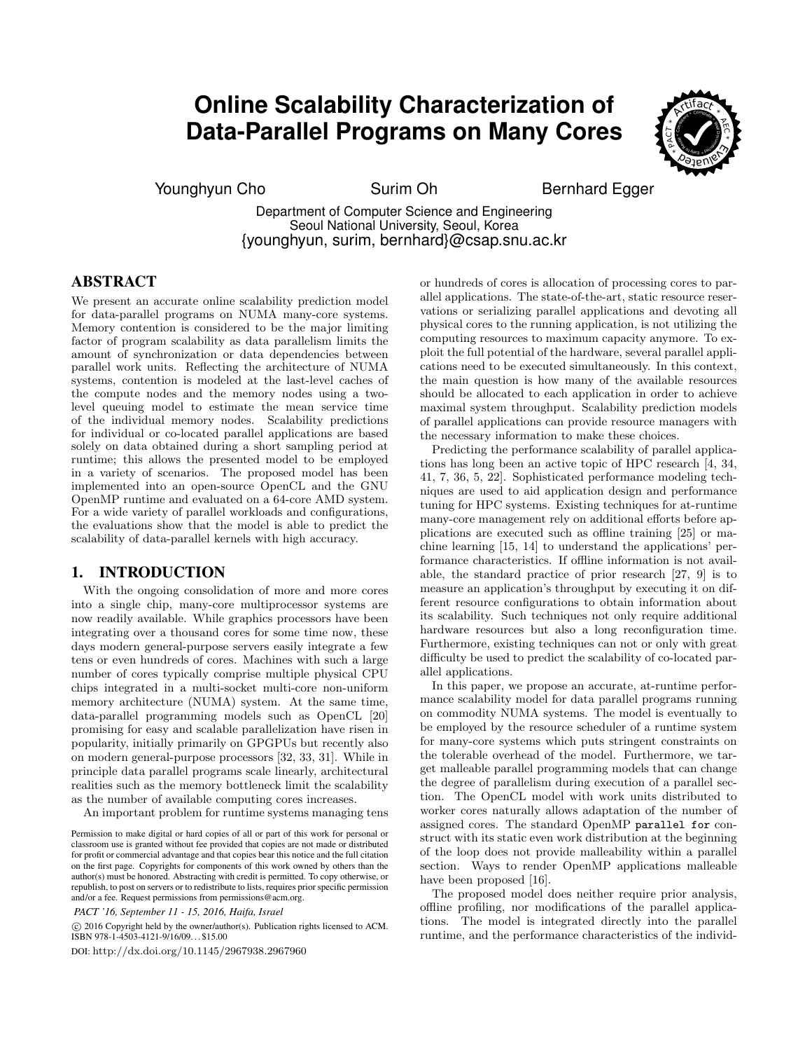# **Online Scalability Characterization of Data-Parallel Programs on Many Cores**



Younghyun Cho Surim Oh Bernhard Egger

Department of Computer Science and Engineering Seoul National University, Seoul, Korea {younghyun, surim, bernhard}@csap.snu.ac.kr

# ABSTRACT

We present an accurate online scalability prediction model for data-parallel programs on NUMA many-core systems. Memory contention is considered to be the major limiting factor of program scalability as data parallelism limits the amount of synchronization or data dependencies between parallel work units. Reflecting the architecture of NUMA systems, contention is modeled at the last-level caches of the compute nodes and the memory nodes using a twolevel queuing model to estimate the mean service time of the individual memory nodes. Scalability predictions for individual or co-located parallel applications are based solely on data obtained during a short sampling period at runtime; this allows the presented model to be employed in a variety of scenarios. The proposed model has been implemented into an open-source OpenCL and the GNU OpenMP runtime and evaluated on a 64-core AMD system. For a wide variety of parallel workloads and configurations, the evaluations show that the model is able to predict the scalability of data-parallel kernels with high accuracy.

## 1. INTRODUCTION

With the ongoing consolidation of more and more cores into a single chip, many-core multiprocessor systems are now readily available. While graphics processors have been integrating over a thousand cores for some time now, these days modern general-purpose servers easily integrate a few tens or even hundreds of cores. Machines with such a large number of cores typically comprise multiple physical CPU chips integrated in a multi-socket multi-core non-uniform memory architecture (NUMA) system. At the same time, data-parallel programming models such as OpenCL [20] promising for easy and scalable parallelization have risen in popularity, initially primarily on GPGPUs but recently also on modern general-purpose processors [32, 33, 31]. While in principle data parallel programs scale linearly, architectural realities such as the memory bottleneck limit the scalability as the number of available computing cores increases.

An important problem for runtime systems managing tens

*PACT '16, September 11 - 15, 2016, Haifa, Israel*

 c 2016 Copyright held by the owner/author(s). Publication rights licensed to ACM. ISBN 978-1-4503-4121-9/16/09. . . \$15.00

DOI: http://dx.doi.org/10.1145/2967938.2967960

or hundreds of cores is allocation of processing cores to parallel applications. The state-of-the-art, static resource reservations or serializing parallel applications and devoting all physical cores to the running application, is not utilizing the computing resources to maximum capacity anymore. To exploit the full potential of the hardware, several parallel applications need to be executed simultaneously. In this context, the main question is how many of the available resources should be allocated to each application in order to achieve maximal system throughput. Scalability prediction models of parallel applications can provide resource managers with the necessary information to make these choices.

Predicting the performance scalability of parallel applications has long been an active topic of HPC research [4, 34, 41, 7, 36, 5, 22]. Sophisticated performance modeling techniques are used to aid application design and performance tuning for HPC systems. Existing techniques for at-runtime many-core management rely on additional efforts before applications are executed such as offline training [25] or machine learning [15, 14] to understand the applications' performance characteristics. If offline information is not available, the standard practice of prior research [27, 9] is to measure an application's throughput by executing it on different resource configurations to obtain information about its scalability. Such techniques not only require additional hardware resources but also a long reconfiguration time. Furthermore, existing techniques can not or only with great difficulty be used to predict the scalability of co-located parallel applications.

In this paper, we propose an accurate, at-runtime performance scalability model for data parallel programs running on commodity NUMA systems. The model is eventually to be employed by the resource scheduler of a runtime system for many-core systems which puts stringent constraints on the tolerable overhead of the model. Furthermore, we target malleable parallel programming models that can change the degree of parallelism during execution of a parallel section. The OpenCL model with work units distributed to worker cores naturally allows adaptation of the number of assigned cores. The standard OpenMP parallel for construct with its static even work distribution at the beginning of the loop does not provide malleability within a parallel section. Ways to render OpenMP applications malleable have been proposed [16].

The proposed model does neither require prior analysis, offline profiling, nor modifications of the parallel applications. The model is integrated directly into the parallel runtime, and the performance characteristics of the individ-

Permission to make digital or hard copies of all or part of this work for personal or classroom use is granted without fee provided that copies are not made or distributed for profit or commercial advantage and that copies bear this notice and the full citation on the first page. Copyrights for components of this work owned by others than the author(s) must be honored. Abstracting with credit is permitted. To copy otherwise, or republish, to post on servers or to redistribute to lists, requires prior specific permission and/or a fee. Request permissions from permissions@acm.org.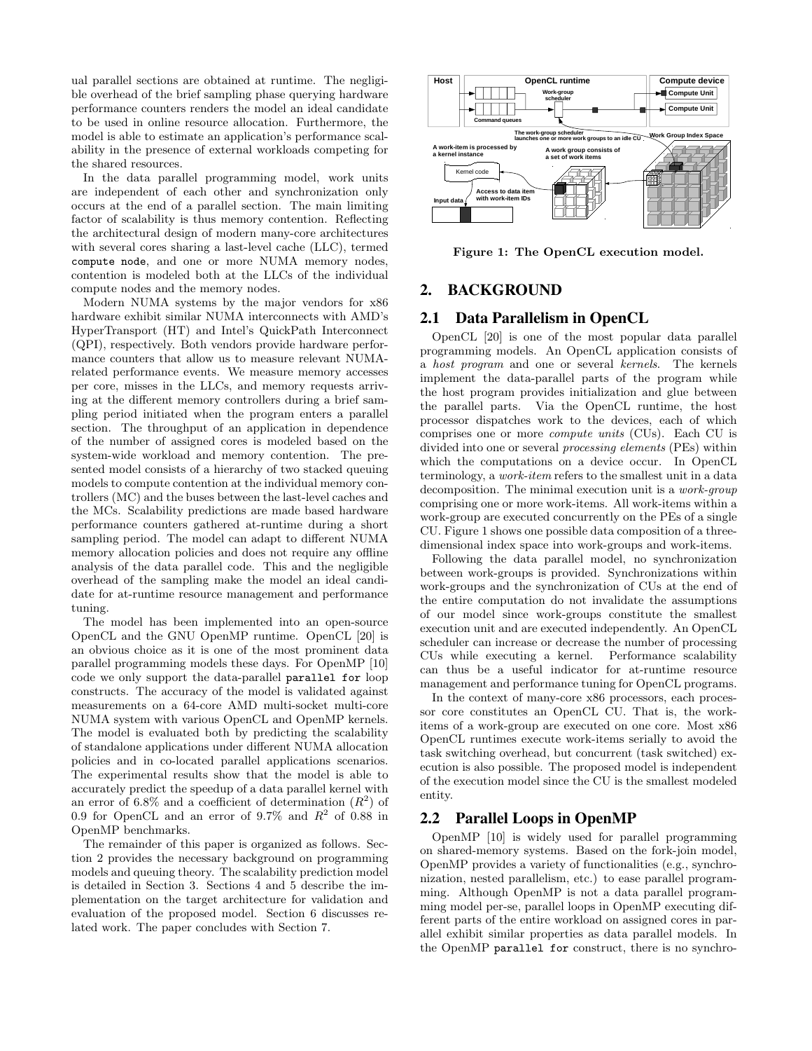ual parallel sections are obtained at runtime. The negligible overhead of the brief sampling phase querying hardware performance counters renders the model an ideal candidate to be used in online resource allocation. Furthermore, the model is able to estimate an application's performance scalability in the presence of external workloads competing for the shared resources.

In the data parallel programming model, work units are independent of each other and synchronization only occurs at the end of a parallel section. The main limiting factor of scalability is thus memory contention. Reflecting the architectural design of modern many-core architectures with several cores sharing a last-level cache (LLC), termed compute node, and one or more NUMA memory nodes, contention is modeled both at the LLCs of the individual compute nodes and the memory nodes.

Modern NUMA systems by the major vendors for x86 hardware exhibit similar NUMA interconnects with AMD's HyperTransport (HT) and Intel's QuickPath Interconnect (QPI), respectively. Both vendors provide hardware performance counters that allow us to measure relevant NUMArelated performance events. We measure memory accesses per core, misses in the LLCs, and memory requests arriving at the different memory controllers during a brief sampling period initiated when the program enters a parallel section. The throughput of an application in dependence of the number of assigned cores is modeled based on the system-wide workload and memory contention. The presented model consists of a hierarchy of two stacked queuing models to compute contention at the individual memory controllers (MC) and the buses between the last-level caches and the MCs. Scalability predictions are made based hardware performance counters gathered at-runtime during a short sampling period. The model can adapt to different NUMA memory allocation policies and does not require any offline analysis of the data parallel code. This and the negligible overhead of the sampling make the model an ideal candidate for at-runtime resource management and performance tuning.

The model has been implemented into an open-source OpenCL and the GNU OpenMP runtime. OpenCL [20] is an obvious choice as it is one of the most prominent data parallel programming models these days. For OpenMP [10] code we only support the data-parallel parallel for loop constructs. The accuracy of the model is validated against measurements on a 64-core AMD multi-socket multi-core NUMA system with various OpenCL and OpenMP kernels. The model is evaluated both by predicting the scalability of standalone applications under different NUMA allocation policies and in co-located parallel applications scenarios. The experimental results show that the model is able to accurately predict the speedup of a data parallel kernel with an error of 6.8% and a coefficient of determination  $(R^2)$  of 0.9 for OpenCL and an error of 9.7% and  $R^2$  of 0.88 in OpenMP benchmarks.

The remainder of this paper is organized as follows. Section 2 provides the necessary background on programming models and queuing theory. The scalability prediction model is detailed in Section 3. Sections 4 and 5 describe the implementation on the target architecture for validation and evaluation of the proposed model. Section 6 discusses related work. The paper concludes with Section 7.



Figure 1: The OpenCL execution model.

## 2. BACKGROUND

## 2.1 Data Parallelism in OpenCL

OpenCL [20] is one of the most popular data parallel programming models. An OpenCL application consists of a host program and one or several kernels. The kernels implement the data-parallel parts of the program while the host program provides initialization and glue between the parallel parts. Via the OpenCL runtime, the host processor dispatches work to the devices, each of which comprises one or more compute units (CUs). Each CU is divided into one or several processing elements (PEs) within which the computations on a device occur. In OpenCL terminology, a work-item refers to the smallest unit in a data decomposition. The minimal execution unit is a work-group comprising one or more work-items. All work-items within a work-group are executed concurrently on the PEs of a single CU. Figure 1 shows one possible data composition of a threedimensional index space into work-groups and work-items.

Following the data parallel model, no synchronization between work-groups is provided. Synchronizations within work-groups and the synchronization of CUs at the end of the entire computation do not invalidate the assumptions of our model since work-groups constitute the smallest execution unit and are executed independently. An OpenCL scheduler can increase or decrease the number of processing CUs while executing a kernel. Performance scalability can thus be a useful indicator for at-runtime resource management and performance tuning for OpenCL programs.

In the context of many-core x86 processors, each processor core constitutes an OpenCL CU. That is, the workitems of a work-group are executed on one core. Most x86 OpenCL runtimes execute work-items serially to avoid the task switching overhead, but concurrent (task switched) execution is also possible. The proposed model is independent of the execution model since the CU is the smallest modeled entity.

## 2.2 Parallel Loops in OpenMP

OpenMP [10] is widely used for parallel programming on shared-memory systems. Based on the fork-join model, OpenMP provides a variety of functionalities (e.g., synchronization, nested parallelism, etc.) to ease parallel programming. Although OpenMP is not a data parallel programming model per-se, parallel loops in OpenMP executing different parts of the entire workload on assigned cores in parallel exhibit similar properties as data parallel models. In the OpenMP parallel for construct, there is no synchro-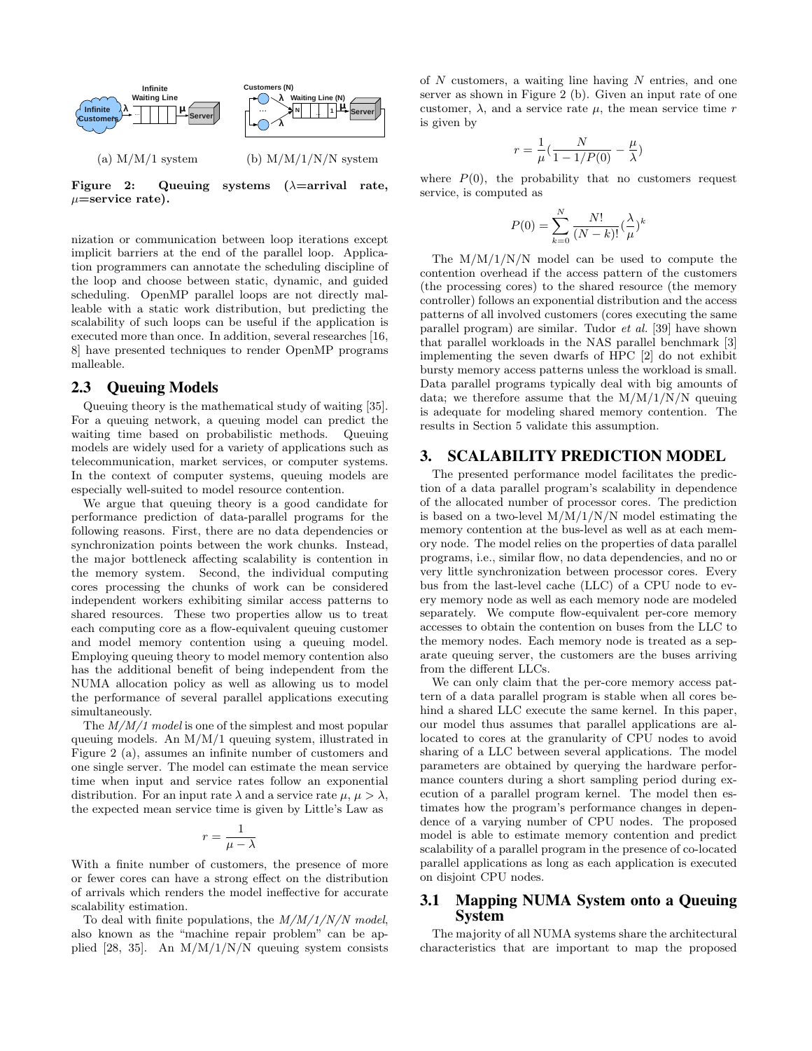

 $\mu$ =service rate).

nization or communication between loop iterations except implicit barriers at the end of the parallel loop. Application programmers can annotate the scheduling discipline of the loop and choose between static, dynamic, and guided scheduling. OpenMP parallel loops are not directly malleable with a static work distribution, but predicting the scalability of such loops can be useful if the application is executed more than once. In addition, several researches [16, 8] have presented techniques to render OpenMP programs malleable.

## 2.3 Queuing Models

Queuing theory is the mathematical study of waiting [35]. For a queuing network, a queuing model can predict the waiting time based on probabilistic methods. Queuing models are widely used for a variety of applications such as telecommunication, market services, or computer systems. In the context of computer systems, queuing models are especially well-suited to model resource contention.

We argue that queuing theory is a good candidate for performance prediction of data-parallel programs for the following reasons. First, there are no data dependencies or synchronization points between the work chunks. Instead, the major bottleneck affecting scalability is contention in the memory system. Second, the individual computing cores processing the chunks of work can be considered independent workers exhibiting similar access patterns to shared resources. These two properties allow us to treat each computing core as a flow-equivalent queuing customer and model memory contention using a queuing model. Employing queuing theory to model memory contention also has the additional benefit of being independent from the NUMA allocation policy as well as allowing us to model the performance of several parallel applications executing simultaneously.

The  $M/M/1$  model is one of the simplest and most popular queuing models. An M/M/1 queuing system, illustrated in Figure 2 (a), assumes an infinite number of customers and one single server. The model can estimate the mean service time when input and service rates follow an exponential distribution. For an input rate  $\lambda$  and a service rate  $\mu, \mu > \lambda$ , the expected mean service time is given by Little's Law as

$$
r = \frac{1}{\mu - \lambda}
$$

With a finite number of customers, the presence of more or fewer cores can have a strong effect on the distribution of arrivals which renders the model ineffective for accurate scalability estimation.

To deal with finite populations, the  $M/M/1/N/N$  model, also known as the "machine repair problem" can be applied [28, 35]. An  $M/M/1/N/N$  queuing system consists of  $N$  customers, a waiting line having  $N$  entries, and one server as shown in Figure 2 (b). Given an input rate of one customer,  $\lambda$ , and a service rate  $\mu$ , the mean service time r is given by

$$
r = \frac{1}{\mu} \left( \frac{N}{1 - 1/P(0)} - \frac{\mu}{\lambda} \right)
$$

where  $P(0)$ , the probability that no customers request service, is computed as

$$
P(0) = \sum_{k=0}^{N} \frac{N!}{(N-k)!} (\frac{\lambda}{\mu})^{k}
$$

The  $M/M/1/N/N$  model can be used to compute the contention overhead if the access pattern of the customers (the processing cores) to the shared resource (the memory controller) follows an exponential distribution and the access patterns of all involved customers (cores executing the same parallel program) are similar. Tudor et al. [39] have shown that parallel workloads in the NAS parallel benchmark [3] implementing the seven dwarfs of HPC [2] do not exhibit bursty memory access patterns unless the workload is small. Data parallel programs typically deal with big amounts of data; we therefore assume that the  $M/M/1/N/N$  queuing is adequate for modeling shared memory contention. The results in Section 5 validate this assumption.

## 3. SCALABILITY PREDICTION MODEL

The presented performance model facilitates the prediction of a data parallel program's scalability in dependence of the allocated number of processor cores. The prediction is based on a two-level  $M/M/1/N/N$  model estimating the memory contention at the bus-level as well as at each memory node. The model relies on the properties of data parallel programs, i.e., similar flow, no data dependencies, and no or very little synchronization between processor cores. Every bus from the last-level cache (LLC) of a CPU node to every memory node as well as each memory node are modeled separately. We compute flow-equivalent per-core memory accesses to obtain the contention on buses from the LLC to the memory nodes. Each memory node is treated as a separate queuing server, the customers are the buses arriving from the different LLCs.

We can only claim that the per-core memory access pattern of a data parallel program is stable when all cores behind a shared LLC execute the same kernel. In this paper, our model thus assumes that parallel applications are allocated to cores at the granularity of CPU nodes to avoid sharing of a LLC between several applications. The model parameters are obtained by querying the hardware performance counters during a short sampling period during execution of a parallel program kernel. The model then estimates how the program's performance changes in dependence of a varying number of CPU nodes. The proposed model is able to estimate memory contention and predict scalability of a parallel program in the presence of co-located parallel applications as long as each application is executed on disjoint CPU nodes.

## 3.1 Mapping NUMA System onto a Queuing System

The majority of all NUMA systems share the architectural characteristics that are important to map the proposed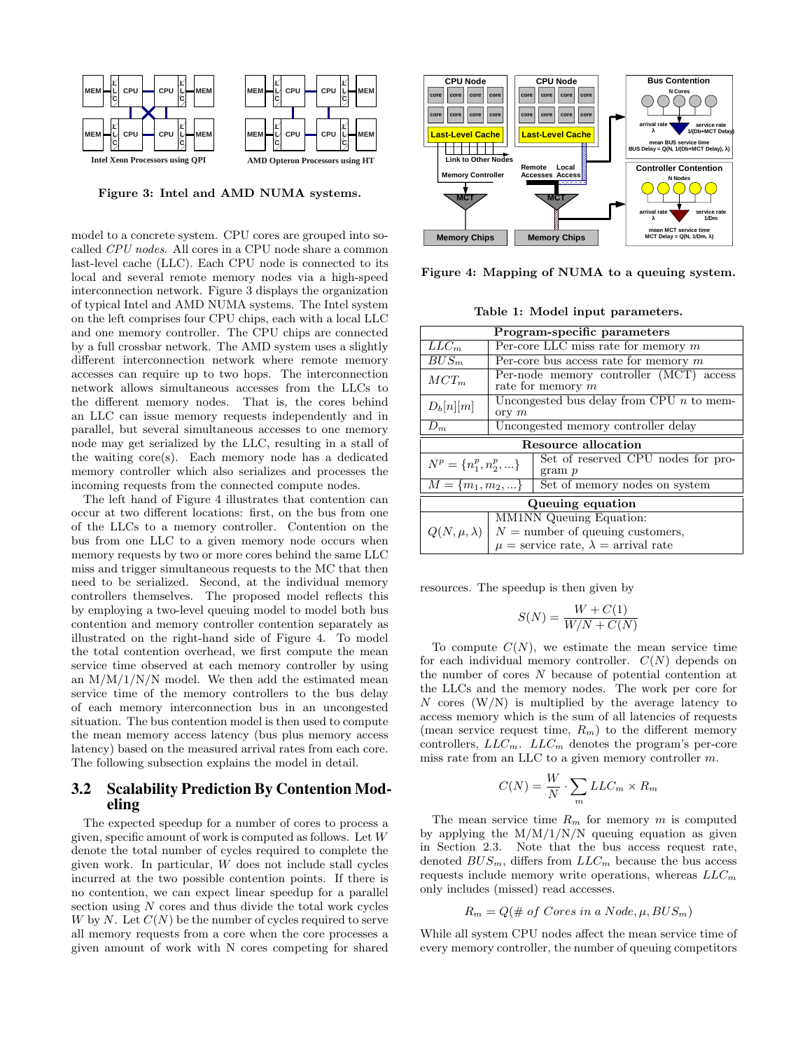

Figure 3: Intel and AMD NUMA systems.

**MEM**

**MEM**

model to a concrete system. CPU cores are grouped into socalled CPU nodes. All cores in a CPU node share a common last-level cache (LLC). Each CPU node is connected to its local and several remote memory nodes via a high-speed interconnection network. Figure 3 displays the organization of typical Intel and AMD NUMA systems. The Intel system on the left comprises four CPU chips, each with a local LLC and one memory controller. The CPU chips are connected by a full crossbar network. The AMD system uses a slightly different interconnection network where remote memory accesses can require up to two hops. The interconnection network allows simultaneous accesses from the LLCs to the different memory nodes. That is, the cores behind an LLC can issue memory requests independently and in parallel, but several simultaneous accesses to one memory node may get serialized by the LLC, resulting in a stall of the waiting core(s). Each memory node has a dedicated memory controller which also serializes and processes the incoming requests from the connected compute nodes.

The left hand of Figure 4 illustrates that contention can occur at two different locations: first, on the bus from one of the LLCs to a memory controller. Contention on the bus from one LLC to a given memory node occurs when memory requests by two or more cores behind the same LLC miss and trigger simultaneous requests to the MC that then need to be serialized. Second, at the individual memory controllers themselves. The proposed model reflects this by employing a two-level queuing model to model both bus contention and memory controller contention separately as illustrated on the right-hand side of Figure 4. To model the total contention overhead, we first compute the mean service time observed at each memory controller by using an  $M/M/1/N/N$  model. We then add the estimated mean service time of the memory controllers to the bus delay of each memory interconnection bus in an uncongested situation. The bus contention model is then used to compute the mean memory access latency (bus plus memory access latency) based on the measured arrival rates from each core. The following subsection explains the model in detail.

## 3.2 Scalability Prediction By Contention Modeling

The expected speedup for a number of cores to process a given, specific amount of work is computed as follows. Let W denote the total number of cycles required to complete the given work. In particular, W does not include stall cycles incurred at the two possible contention points. If there is no contention, we can expect linear speedup for a parallel section using  $N$  cores and thus divide the total work cycles W by N. Let  $C(N)$  be the number of cycles required to serve all memory requests from a core when the core processes a given amount of work with N cores competing for shared



Figure 4: Mapping of NUMA to a queuing system.

Table 1: Model input parameters.

| Program-specific parameters                                                |                                                                  |  |  |  |  |  |
|----------------------------------------------------------------------------|------------------------------------------------------------------|--|--|--|--|--|
| $LLC_m$                                                                    | Per-core LLC miss rate for memory $m$                            |  |  |  |  |  |
| $BUS_m$                                                                    | Per-core bus access rate for memory $m$                          |  |  |  |  |  |
| $MCT_m$                                                                    | Per-node memory controller (MCT) access<br>rate for memory $m$   |  |  |  |  |  |
| $D_b[n][m]$                                                                | Uncongested bus delay from CPU $\overline{n}$ to mem-<br>ory $m$ |  |  |  |  |  |
| $D_m$                                                                      | Uncongested memory controller delay                              |  |  |  |  |  |
| Resource allocation                                                        |                                                                  |  |  |  |  |  |
| Set of reserved CPU nodes for pro-<br>$N^p = \{n_1^p, n_2^p, \}$<br>gram p |                                                                  |  |  |  |  |  |
| Set of memory nodes on system<br>$\overline{M} = \{m_1, m_2, \}$           |                                                                  |  |  |  |  |  |
| Queuing equation                                                           |                                                                  |  |  |  |  |  |
| <b>MM1NN</b> Queuing Equation:                                             |                                                                  |  |  |  |  |  |
|                                                                            | $N =$ number of queuing customers,<br>$Q(N,\mu,\lambda)$         |  |  |  |  |  |
| $\mu$ = service rate, $\lambda$ = arrival rate                             |                                                                  |  |  |  |  |  |

resources. The speedup is then given by

$$
S(N) = \frac{W + C(1)}{W/N + C(N)}
$$

To compute  $C(N)$ , we estimate the mean service time for each individual memory controller.  $C(N)$  depends on the number of cores N because of potential contention at the LLCs and the memory nodes. The work per core for N cores  $(W/N)$  is multiplied by the average latency to access memory which is the sum of all latencies of requests (mean service request time,  $R_m$ ) to the different memory controllers,  $LLC_m$ .  $LLC_m$  denotes the program's per-core miss rate from an LLC to a given memory controller m.

$$
C(N) = \frac{W}{N} \cdot \sum_{m} LLC_m \times R_m
$$

The mean service time  $R_m$  for memory m is computed by applying the  $M/M/1/N/N$  queuing equation as given in Section 2.3. Note that the bus access request rate, denoted  $BUS_m$ , differs from  $LLC_m$  because the bus access requests include memory write operations, whereas  $LLC_m$ only includes (missed) read accesses.

$$
R_m = Q(\# of \text{ Cores in a Node}, \mu, BUS_m)
$$

While all system CPU nodes affect the mean service time of every memory controller, the number of queuing competitors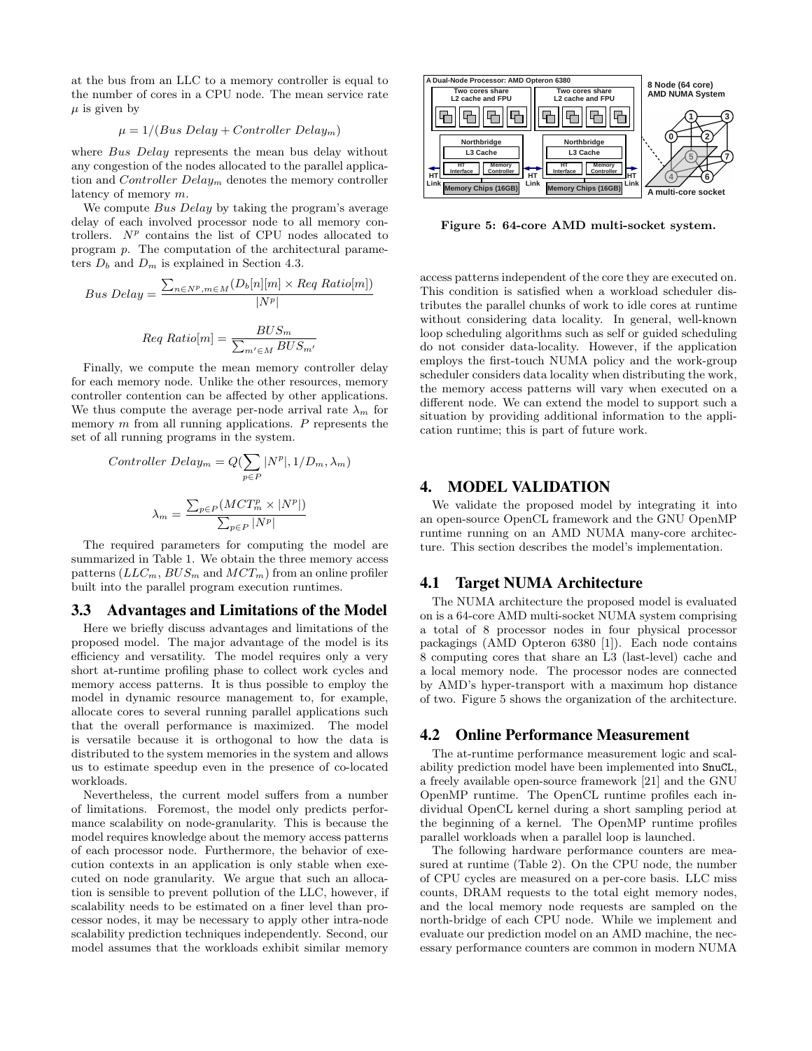at the bus from an LLC to a memory controller is equal to the number of cores in a CPU node. The mean service rate  $\mu$  is given by

$$
\mu = 1/(Bus\ Delay + Controler\ Delay_m)
$$

where Bus Delay represents the mean bus delay without any congestion of the nodes allocated to the parallel application and *Controller Delay<sub>m</sub>* denotes the memory controller latency of memory m.

We compute Bus Delay by taking the program's average delay of each involved processor node to all memory controllers.  $N^p$  contains the list of CPU nodes allocated to program p. The computation of the architectural parameters  $D_b$  and  $D_m$  is explained in Section 4.3.

$$
Bus \ Delay = \frac{\sum_{n \in N^p, m \in M} (D_b[n][m] \times Reg \ Ratio[m])}{|N^p|}
$$

$$
Req \ Ratio[m] = \frac{BUS_m}{\sum_{m' \in M} BUS_{m'}}
$$

Finally, we compute the mean memory controller delay for each memory node. Unlike the other resources, memory controller contention can be affected by other applications. We thus compute the average per-node arrival rate  $\lambda_m$  for memory  $m$  from all running applications.  $P$  represents the set of all running programs in the system.

$$
Controller\ Delay_m = Q(\sum_{p \in P} |N^p|, 1/D_m, \lambda_m)
$$

$$
\lambda_m = \frac{\sum_{p \in P} (MCT_m^p \times |N^p|)}{\sum_{p \in P} |N^p|}
$$

The required parameters for computing the model are summarized in Table 1. We obtain the three memory access patterns  $(LLC_m, BUS_m$  and  $MCT_m)$  from an online profiler built into the parallel program execution runtimes.

#### 3.3 Advantages and Limitations of the Model

Here we briefly discuss advantages and limitations of the proposed model. The major advantage of the model is its efficiency and versatility. The model requires only a very short at-runtime profiling phase to collect work cycles and memory access patterns. It is thus possible to employ the model in dynamic resource management to, for example, allocate cores to several running parallel applications such that the overall performance is maximized. The model is versatile because it is orthogonal to how the data is distributed to the system memories in the system and allows us to estimate speedup even in the presence of co-located workloads.

Nevertheless, the current model suffers from a number of limitations. Foremost, the model only predicts performance scalability on node-granularity. This is because the model requires knowledge about the memory access patterns of each processor node. Furthermore, the behavior of execution contexts in an application is only stable when executed on node granularity. We argue that such an allocation is sensible to prevent pollution of the LLC, however, if scalability needs to be estimated on a finer level than processor nodes, it may be necessary to apply other intra-node scalability prediction techniques independently. Second, our model assumes that the workloads exhibit similar memory



Figure 5: 64-core AMD multi-socket system.

access patterns independent of the core they are executed on. This condition is satisfied when a workload scheduler distributes the parallel chunks of work to idle cores at runtime without considering data locality. In general, well-known loop scheduling algorithms such as self or guided scheduling do not consider data-locality. However, if the application employs the first-touch NUMA policy and the work-group scheduler considers data locality when distributing the work, the memory access patterns will vary when executed on a different node. We can extend the model to support such a situation by providing additional information to the application runtime; this is part of future work.

## 4. MODEL VALIDATION

We validate the proposed model by integrating it into an open-source OpenCL framework and the GNU OpenMP runtime running on an AMD NUMA many-core architecture. This section describes the model's implementation.

## 4.1 Target NUMA Architecture

The NUMA architecture the proposed model is evaluated on is a 64-core AMD multi-socket NUMA system comprising a total of 8 processor nodes in four physical processor packagings (AMD Opteron 6380 [1]). Each node contains 8 computing cores that share an L3 (last-level) cache and a local memory node. The processor nodes are connected by AMD's hyper-transport with a maximum hop distance of two. Figure 5 shows the organization of the architecture.

## 4.2 Online Performance Measurement

The at-runtime performance measurement logic and scalability prediction model have been implemented into SnuCL, a freely available open-source framework [21] and the GNU OpenMP runtime. The OpenCL runtime profiles each individual OpenCL kernel during a short sampling period at the beginning of a kernel. The OpenMP runtime profiles parallel workloads when a parallel loop is launched.

The following hardware performance counters are measured at runtime (Table 2). On the CPU node, the number of CPU cycles are measured on a per-core basis. LLC miss counts, DRAM requests to the total eight memory nodes, and the local memory node requests are sampled on the north-bridge of each CPU node. While we implement and evaluate our prediction model on an AMD machine, the necessary performance counters are common in modern NUMA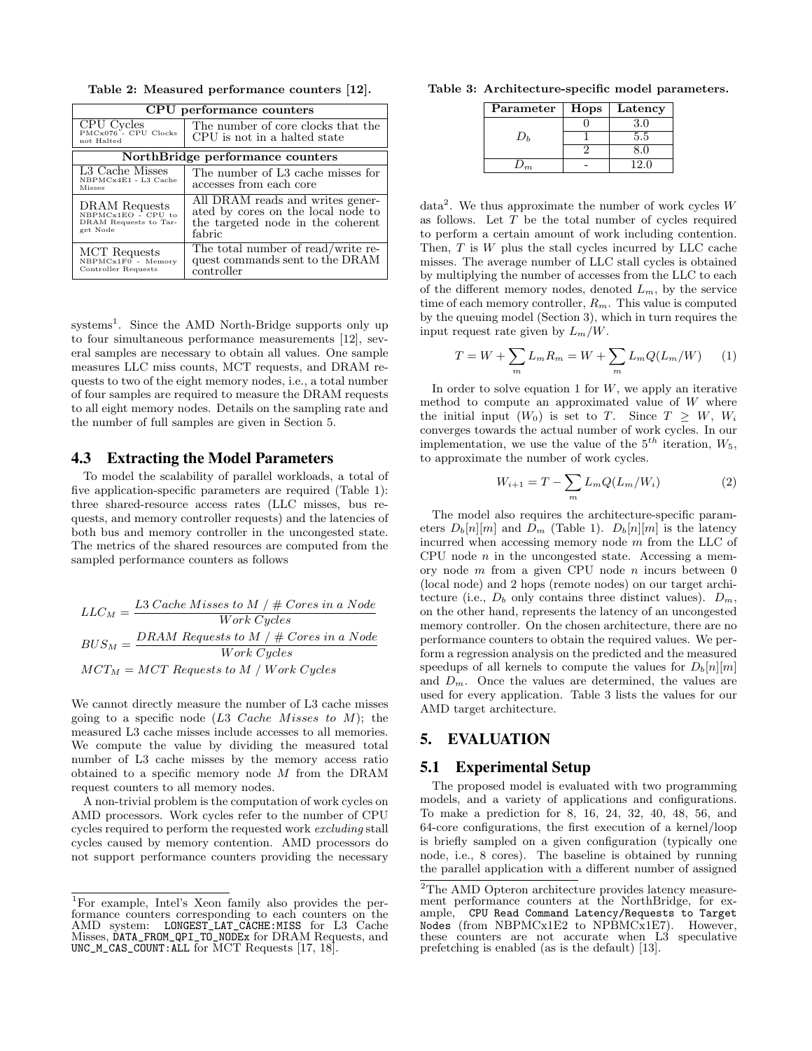Table 2: Measured performance counters [12].

| CPU performance counters                                                 |                                                                                                                       |  |  |  |  |  |
|--------------------------------------------------------------------------|-----------------------------------------------------------------------------------------------------------------------|--|--|--|--|--|
| CPU Cycles<br>PMCx076 - CPU Clocks<br>not Halted                         | The number of core clocks that the<br>CPU is not in a halted state                                                    |  |  |  |  |  |
|                                                                          | NorthBridge performance counters                                                                                      |  |  |  |  |  |
| L3 Cache Misses<br>NBPMCx4E1 - L3 Cache<br><b>Misses</b>                 | The number of L3 cache misses for<br>accesses from each core                                                          |  |  |  |  |  |
| DRAM Requests<br>NBPMCx1EO - CPU to<br>DRAM Requests to Tar-<br>get Node | All DRAM reads and writes gener-<br>ated by cores on the local node to<br>the targeted node in the coherent<br>fabric |  |  |  |  |  |
| <b>MCT</b> Requests<br>NBPMCx1F0 - Memory<br>Controller Requests         | The total number of read/write re-<br>quest commands sent to the DRAM<br>controller                                   |  |  |  |  |  |

systems<sup>1</sup>. Since the AMD North-Bridge supports only up to four simultaneous performance measurements [12], several samples are necessary to obtain all values. One sample measures LLC miss counts, MCT requests, and DRAM requests to two of the eight memory nodes, i.e., a total number of four samples are required to measure the DRAM requests to all eight memory nodes. Details on the sampling rate and the number of full samples are given in Section 5.

## 4.3 Extracting the Model Parameters

To model the scalability of parallel workloads, a total of five application-specific parameters are required (Table 1): three shared-resource access rates (LLC misses, bus requests, and memory controller requests) and the latencies of both bus and memory controller in the uncongested state. The metrics of the shared resources are computed from the sampled performance counters as follows

$$
LLC_M = \frac{L3\text{ Cache Misses to } M \text{ } / \text{ } \# \text{ Cores in a Node}}{\text{Work Cycles}}
$$
\n
$$
BUS_M = \frac{DRAM\text{ Requests to M \text{ } / \text{ } \# \text{ Cores in a Node}}{\text{Work Cycles}}
$$
\n
$$
MCT_M = MCT\text{ Requests to M \text{ } / \text{ Work Cycles}}
$$

We cannot directly measure the number of L3 cache misses going to a specific node  $(L3$  Cache Misses to M); the measured L3 cache misses include accesses to all memories. We compute the value by dividing the measured total number of L3 cache misses by the memory access ratio obtained to a specific memory node  $M$  from the DRAM request counters to all memory nodes.

A non-trivial problem is the computation of work cycles on AMD processors. Work cycles refer to the number of CPU cycles required to perform the requested work excluding stall cycles caused by memory contention. AMD processors do not support performance counters providing the necessary

Table 3: Architecture-specific model parameters.

| Parameter | Hops | Latency |
|-----------|------|---------|
|           |      | 3.0     |
|           |      | 5.5     |
|           |      | 8.0     |
|           |      | 12.0    |

data<sup>2</sup>. We thus approximate the number of work cycles  $W$ as follows. Let  $T$  be the total number of cycles required to perform a certain amount of work including contention. Then,  $T$  is  $W$  plus the stall cycles incurred by LLC cache misses. The average number of LLC stall cycles is obtained by multiplying the number of accesses from the LLC to each of the different memory nodes, denoted  $L_m$ , by the service time of each memory controller,  $R_m$ . This value is computed by the queuing model (Section 3), which in turn requires the input request rate given by  $L_m/W$ .

$$
T = W + \sum_{m} L_m R_m = W + \sum_{m} L_m Q(L_m/W)
$$
 (1)

In order to solve equation 1 for  $W$ , we apply an iterative method to compute an approximated value of  $W$  where the initial input  $(W_0)$  is set to T. Since  $T \geq W$ ,  $W_i$ converges towards the actual number of work cycles. In our implementation, we use the value of the  $5^{th}$  iteration,  $W_5$ , to approximate the number of work cycles.

$$
W_{i+1} = T - \sum_{m} L_m Q(L_m/W_i)
$$
 (2)

The model also requires the architecture-specific parameters  $D_b[n][m]$  and  $D_m$  (Table 1).  $D_b[n][m]$  is the latency incurred when accessing memory node m from the LLC of CPU node  $n$  in the uncongested state. Accessing a memory node  $m$  from a given CPU node  $n$  incurs between  $0$ (local node) and 2 hops (remote nodes) on our target architecture (i.e.,  $D_b$  only contains three distinct values).  $D_m$ , on the other hand, represents the latency of an uncongested memory controller. On the chosen architecture, there are no performance counters to obtain the required values. We perform a regression analysis on the predicted and the measured speedups of all kernels to compute the values for  $D_b[n][m]$ and  $D_m$ . Once the values are determined, the values are used for every application. Table 3 lists the values for our AMD target architecture.

## 5. EVALUATION

## 5.1 Experimental Setup

The proposed model is evaluated with two programming models, and a variety of applications and configurations. To make a prediction for 8, 16, 24, 32, 40, 48, 56, and 64-core configurations, the first execution of a kernel/loop is briefly sampled on a given configuration (typically one node, i.e., 8 cores). The baseline is obtained by running the parallel application with a different number of assigned

<sup>1</sup>For example, Intel's Xeon family also provides the performance counters corresponding to each counters on the AMD system: LONGEST\_LAT\_CACHE:MISS for L3 Cache Misses, DATA\_FROM\_QPI\_TO\_NODEx for DRAM Requests, and UNC\_M\_CAS\_COUNT:ALL for MCT Requests [17, 18].

 $^{2}\mathrm{The}$  AMD Opteron architecture provides latency measurement performance counters at the NorthBridge, for example, CPU Read Command Latency/Requests to Target CPU Read Command Latency/Requests to Target Nodes (from NBPMCx1E2 to NPBMCx1E7). However, these counters are not accurate when L3 speculative prefetching is enabled (as is the default) [13].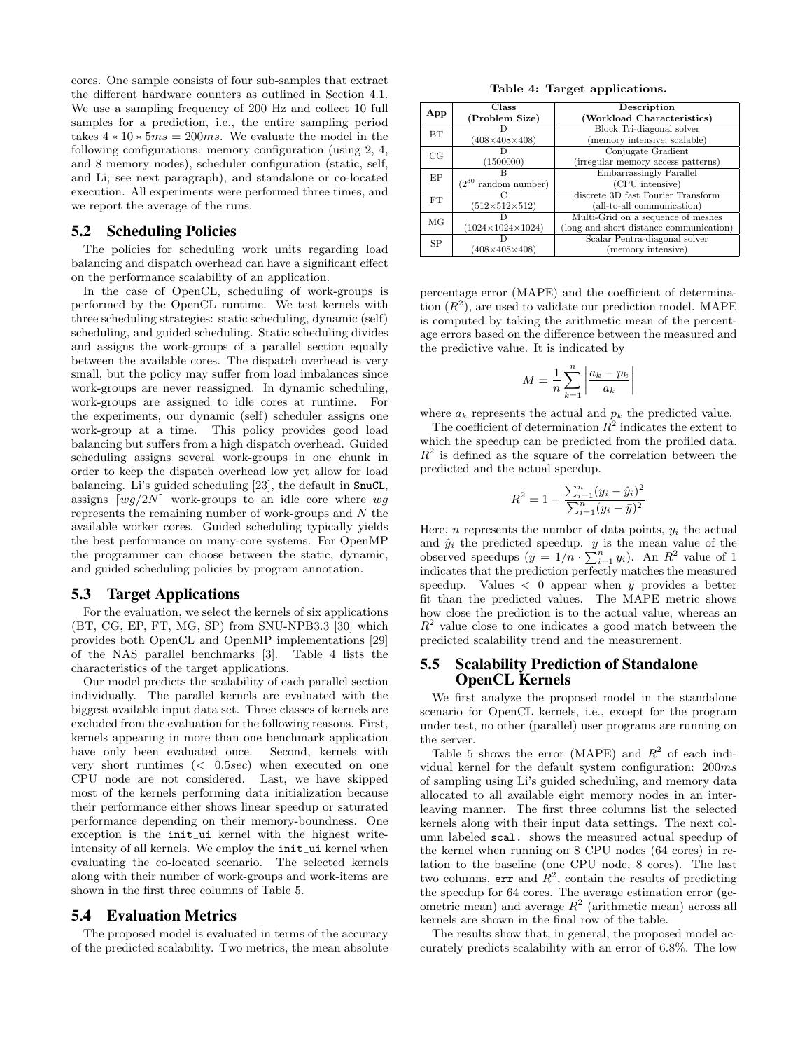cores. One sample consists of four sub-samples that extract the different hardware counters as outlined in Section 4.1. We use a sampling frequency of 200 Hz and collect 10 full samples for a prediction, i.e., the entire sampling period takes  $4 * 10 * 5ms = 200ms$ . We evaluate the model in the following configurations: memory configuration (using 2, 4, and 8 memory nodes), scheduler configuration (static, self, and Li; see next paragraph), and standalone or co-located execution. All experiments were performed three times, and we report the average of the runs.

#### 5.2 Scheduling Policies

The policies for scheduling work units regarding load balancing and dispatch overhead can have a significant effect on the performance scalability of an application.

In the case of OpenCL, scheduling of work-groups is performed by the OpenCL runtime. We test kernels with three scheduling strategies: static scheduling, dynamic (self) scheduling, and guided scheduling. Static scheduling divides and assigns the work-groups of a parallel section equally between the available cores. The dispatch overhead is very small, but the policy may suffer from load imbalances since work-groups are never reassigned. In dynamic scheduling, work-groups are assigned to idle cores at runtime. For the experiments, our dynamic (self) scheduler assigns one work-group at a time. This policy provides good load balancing but suffers from a high dispatch overhead. Guided scheduling assigns several work-groups in one chunk in order to keep the dispatch overhead low yet allow for load balancing. Li's guided scheduling [23], the default in SnuCL, assigns  $\lceil wg/2N\rceil$  work-groups to an idle core where  $wg$ represents the remaining number of work-groups and N the available worker cores. Guided scheduling typically yields the best performance on many-core systems. For OpenMP the programmer can choose between the static, dynamic, and guided scheduling policies by program annotation.

#### 5.3 Target Applications

For the evaluation, we select the kernels of six applications (BT, CG, EP, FT, MG, SP) from SNU-NPB3.3 [30] which provides both OpenCL and OpenMP implementations [29] of the NAS parallel benchmarks [3]. Table 4 lists the characteristics of the target applications.

Our model predicts the scalability of each parallel section individually. The parallel kernels are evaluated with the biggest available input data set. Three classes of kernels are excluded from the evaluation for the following reasons. First, kernels appearing in more than one benchmark application have only been evaluated once. Second, kernels with very short runtimes (< 0.5sec) when executed on one CPU node are not considered. Last, we have skipped most of the kernels performing data initialization because their performance either shows linear speedup or saturated performance depending on their memory-boundness. One exception is the init\_ui kernel with the highest writeintensity of all kernels. We employ the init\_ui kernel when evaluating the co-located scenario. The selected kernels along with their number of work-groups and work-items are shown in the first three columns of Table 5.

#### 5.4 Evaluation Metrics

The proposed model is evaluated in terms of the accuracy of the predicted scalability. Two metrics, the mean absolute

Table 4: Target applications.

|           | Class                        | Description                             |  |  |  |  |
|-----------|------------------------------|-----------------------------------------|--|--|--|--|
| App       | (Problem Size)               | (Workload Characteristics)              |  |  |  |  |
| BТ        |                              | Block Tri-diagonal solver               |  |  |  |  |
|           | $(408\times408\times408)$    | (memory intensive; scalable)            |  |  |  |  |
| CG        |                              | Conjugate Gradient                      |  |  |  |  |
|           | (1500000)                    | (irregular memory access patterns)      |  |  |  |  |
| EP        |                              | Embarrassingly Parallel                 |  |  |  |  |
|           | $(2^{30}$<br>random number)  | (CPU intensive)                         |  |  |  |  |
| FT        |                              | discrete 3D fast Fourier Transform      |  |  |  |  |
|           | $(512\times512\times512)$    | (all-to-all communication)              |  |  |  |  |
| MG        |                              | Multi-Grid on a sequence of meshes      |  |  |  |  |
|           | $(1024\times1024\times1024)$ | (long and short distance communication) |  |  |  |  |
| <b>SP</b> |                              | Scalar Pentra-diagonal solver           |  |  |  |  |
|           | $(408\times408\times408)$    | (memory intensive)                      |  |  |  |  |

percentage error (MAPE) and the coefficient of determination  $(R^2)$ , are used to validate our prediction model. MAPE is computed by taking the arithmetic mean of the percentage errors based on the difference between the measured and the predictive value. It is indicated by

$$
M = \frac{1}{n} \sum_{k=1}^{n} \left| \frac{a_k - p_k}{a_k} \right|
$$

 $\overline{\phantom{a}}$ I  $\overline{\phantom{a}}$  $\overline{1}$ 

where  $a_k$  represents the actual and  $p_k$  the predicted value.

The coefficient of determination  $R^2$  indicates the extent to which the speedup can be predicted from the profiled data.  $R<sup>2</sup>$  is defined as the square of the correlation between the predicted and the actual speedup.

$$
R^{2} = 1 - \frac{\sum_{i=1}^{n} (y_{i} - \hat{y}_{i})^{2}}{\sum_{i=1}^{n} (y_{i} - \bar{y})^{2}}
$$

Here, *n* represents the number of data points,  $y_i$  the actual and  $\hat{y}_i$  the predicted speedup.  $\bar{y}$  is the mean value of the observed speedups  $(\bar{y} = 1/n \cdot \sum_{i=1}^{n} y_i)$ . An  $R^2$  value of 1 indicates that the prediction perfectly matches the measured speedup. Values  $\langle 0 \rangle$  appear when  $\bar{y}$  provides a better fit than the predicted values. The MAPE metric shows how close the prediction is to the actual value, whereas an  $R<sup>2</sup>$  value close to one indicates a good match between the predicted scalability trend and the measurement.

## 5.5 Scalability Prediction of Standalone OpenCL Kernels

We first analyze the proposed model in the standalone scenario for OpenCL kernels, i.e., except for the program under test, no other (parallel) user programs are running on the server.

Table 5 shows the error (MAPE) and  $R^2$  of each individual kernel for the default system configuration: 200ms of sampling using Li's guided scheduling, and memory data allocated to all available eight memory nodes in an interleaving manner. The first three columns list the selected kernels along with their input data settings. The next column labeled scal. shows the measured actual speedup of the kernel when running on 8 CPU nodes (64 cores) in relation to the baseline (one CPU node, 8 cores). The last two columns, err and  $R^2$ , contain the results of predicting the speedup for 64 cores. The average estimation error (geometric mean) and average  $R^2$  (arithmetic mean) across all kernels are shown in the final row of the table.

The results show that, in general, the proposed model accurately predicts scalability with an error of 6.8%. The low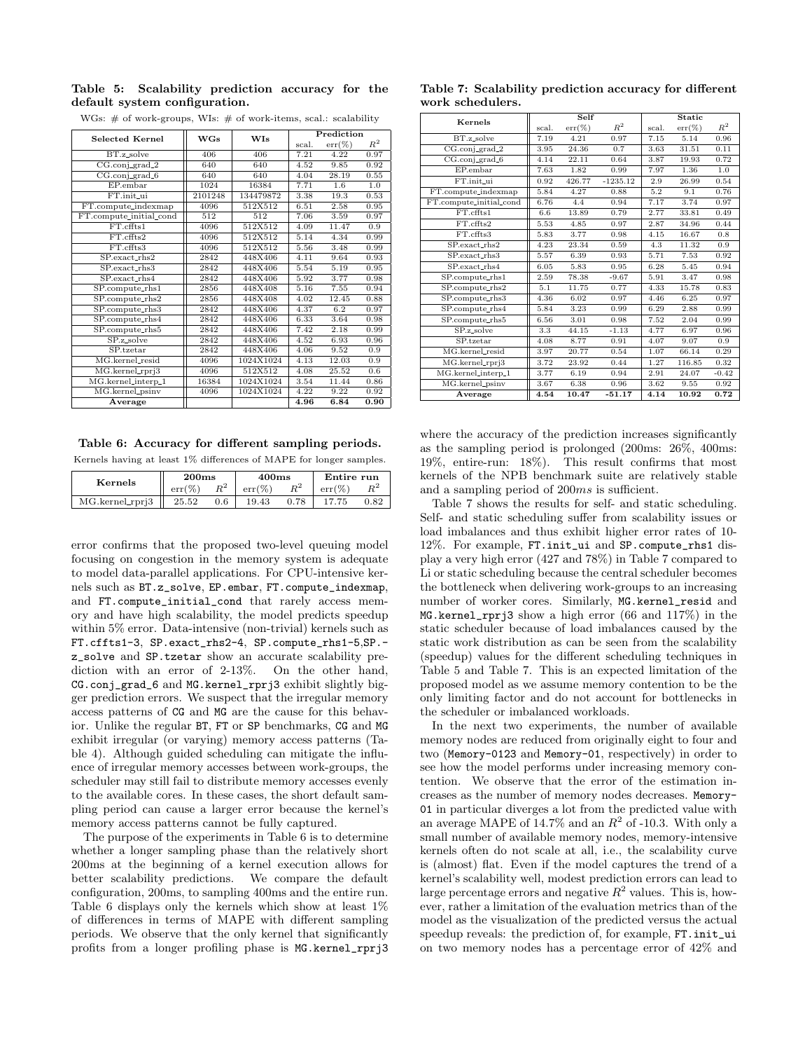#### Table 5: Scalability prediction accuracy for the default system configuration.

WGs: # of work-groups, WIs: # of work-items, scal.: scalability

| <b>Selected Kernel</b>  | <b>WGs</b> | <b>WIs</b> | Prediction |           |       |
|-------------------------|------------|------------|------------|-----------|-------|
|                         |            |            | scal.      | $err(\%)$ | $R^2$ |
| BT.z_solve              | 406        | 406        | 7.21       | 4.22      | 0.97  |
| $CG.config\_grad_2$     | 640        | 640        | 4.52       | 9.85      | 0.92  |
| $CG.config\_grad_6$     | 640        | 640        | 4.04       | 28.19     | 0.55  |
| EP.embar                | 1024       | 16384      | 7.71       | 1.6       | 1.0   |
| FT.init_ui              | 2101248    | 134479872  | 3.38       | 19.3      | 0.53  |
| FT.compute_indexmap     | 4096       | 512X512    | 6.51       | 2.58      | 0.95  |
| FT.compute_initial_cond | 512        | 512        | 7.06       | 3.59      | 0.97  |
| FT.cffts1               | 4096       | 512X512    | 4.09       | 11.47     | 0.9   |
| FT.cffts2               | 4096       | 512X512    | 5.14       | 4.34      | 0.99  |
| FT.cffts3               | 4096       | 512X512    | 5.56       | 3.48      | 0.99  |
| $SP$ . exact_rhs2       | 2842       | 448X406    | 4.11       | 9.64      | 0.93  |
| SP.exact_rhs3           | 2842       | 448X406    | 5.54       | 5.19      | 0.95  |
| SP.exact.rhs4           | 2842       | 448X406    | 5.92       | 3.77      | 0.98  |
| SP.compute_rhs1         | 2856       | 448X408    | 5.16       | 7.55      | 0.94  |
| SP.compute_rhs2         | 2856       | 448X408    | 4.02       | 12.45     | 0.88  |
| SP.compute_rhs3         | 2842       | 448X406    | 4.37       | 6.2       | 0.97  |
| SP.compute_rhs4         | 2842       | 448X406    | 6.33       | 3.64      | 0.98  |
| SP.compute_rhs5         | 2842       | 448X406    | 7.42       | 2.18      | 0.99  |
| SP.z solve              | 2842       | 448X406    | 4.52       | 6.93      | 0.96  |
| SP.tzetar               | 2842       | 448X406    | 4.06       | 9.52      | 0.9   |
| MG.kernel_resid         | 4096       | 1024X1024  | 4.13       | 12.03     | 0.9   |
| MG.kernel_rprj3         | 4096       | 512X512    | 4.08       | 25.52     | 0.6   |
| MG.kernel_interp_1      | 16384      | 1024X1024  | 3.54       | 11.44     | 0.86  |
| MG.kernel_psinv         | 4096       | 1024X1024  | 4.22       | 9.22      | 0.92  |
| Average                 |            |            | 4.96       | 6.84      | 0.90  |

#### Table 6: Accuracy for different sampling periods.

Kernels having at least 1% differences of MAPE for longer samples.

| Kernels               | 200ms    |          | 400 <sub>ms</sub> |       | Entire run |                |
|-----------------------|----------|----------|-------------------|-------|------------|----------------|
|                       | $err(\%$ | n2       | $err(\%)$         | $n^2$ | $err(\%)$  | n <sup>2</sup> |
| $MG.$ kernel_rprj $3$ | 25.52    | $_{0.6}$ | 19.43             | 0.78  |            | ).82           |

error confirms that the proposed two-level queuing model focusing on congestion in the memory system is adequate to model data-parallel applications. For CPU-intensive kernels such as BT.z\_solve, EP.embar, FT.compute\_indexmap, and FT.compute\_initial\_cond that rarely access memory and have high scalability, the model predicts speedup within 5% error. Data-intensive (non-trivial) kernels such as FT.cffts1-3, SP.exact\_rhs2-4, SP.compute\_rhs1-5,SP. z\_solve and SP.tzetar show an accurate scalability prediction with an error of 2-13%. On the other hand, CG.conj\_grad\_6 and MG.kernel\_rprj3 exhibit slightly bigger prediction errors. We suspect that the irregular memory access patterns of CG and MG are the cause for this behavior. Unlike the regular BT, FT or SP benchmarks, CG and MG exhibit irregular (or varying) memory access patterns (Table 4). Although guided scheduling can mitigate the influence of irregular memory accesses between work-groups, the scheduler may still fail to distribute memory accesses evenly to the available cores. In these cases, the short default sampling period can cause a larger error because the kernel's memory access patterns cannot be fully captured.

The purpose of the experiments in Table 6 is to determine whether a longer sampling phase than the relatively short 200ms at the beginning of a kernel execution allows for better scalability predictions. We compare the default configuration, 200ms, to sampling 400ms and the entire run. Table 6 displays only the kernels which show at least 1% of differences in terms of MAPE with different sampling periods. We observe that the only kernel that significantly profits from a longer profiling phase is MG.kernel\_rprj3

Table 7: Scalability prediction accuracy for different work schedulers.

| Kernels                 |       | Self      |            | <b>Static</b> |           |         |
|-------------------------|-------|-----------|------------|---------------|-----------|---------|
|                         | scal. | $err(\%)$ | $R^2$      | scal.         | $err(\%)$ | $R^2$   |
| BT.z_solve              | 7.19  | 4.21      | 0.97       | 7.15          | 5.14      | 0.96    |
| CG.conj_grad_2          | 3.95  | 24.36     | 0.7        | 3.63          | 31.51     | 0.11    |
| $CG.config\_grad_6$     | 4.14  | 22.11     | 0.64       | 3.87          | 19.93     | 0.72    |
| EP.embar                | 7.63  | 1.82      | 0.99       | 7.97          | 1.36      | 1.0     |
| FT.init_ui              | 0.92  | 426.77    | $-1235.12$ | 2.9           | 26.99     | 0.54    |
| FT.compute_indexmap     | 5.84  | 4.27      | 0.88       | 5.2           | 9.1       | 0.76    |
| FT.compute_initial_cond | 6.76  | 4.4       | 0.94       | 7.17          | 3.74      | 0.97    |
| FT.cffts1               | 6.6   | 13.89     | 0.79       | 2.77          | 33.81     | 0.49    |
| FT.cffts2               | 5.53  | 4.85      | 0.97       | 2.87          | 34.96     | 0.44    |
| FT.cffts3               | 5.83  | 3.77      | 0.98       | 4.15          | 16.67     | 0.8     |
| SP.exact_rhs2           | 4.23  | 23.34     | 0.59       | 4.3           | 11.32     | 0.9     |
| SP.exact_rhs3           | 5.57  | 6.39      | 0.93       | 5.71          | 7.53      | 0.92    |
| $SP. exact_rhs4$        | 6.05  | 5.83      | 0.95       | 6.28          | 5.45      | 0.94    |
| SP.compute_rhs1         | 2.59  | 78.38     | $-9.67$    | 5.91          | 3.47      | 0.98    |
| SP.compute_rhs2         | 5.1   | 11.75     | 0.77       | 4.33          | 15.78     | 0.83    |
| SP.compute_rhs3         | 4.36  | 6.02      | 0.97       | 4.46          | 6.25      | 0.97    |
| SP.compute_rhs4         | 5.84  | 3.23      | 0.99       | 6.29          | 2.88      | 0.99    |
| SP.compute_rhs5         | 6.56  | 3.01      | 0.98       | 7.52          | 2.04      | 0.99    |
| SP.z_solve              | 3.3   | 44.15     | $-1.13$    | 4.77          | 6.97      | 0.96    |
| SP.tzetar               | 4.08  | 8.77      | 0.91       | 4.07          | 9.07      | 0.9     |
| MG.kernel_resid         | 3.97  | 20.77     | 0.54       | 1.07          | 66.14     | 0.29    |
| MG.kernel_rprj3         | 3.72  | 23.92     | 0.44       | 1.27          | 116.85    | 0.32    |
| MG.kernel_interp_1      | 3.77  | 6.19      | 0.94       | 2.91          | 24.07     | $-0.42$ |
| MG.kernel_psinv         | 3.67  | 6.38      | 0.96       | 3.62          | 9.55      | 0.92    |
| Average                 | 4.54  | 10.47     | $-51.17$   | 4.14          | 10.92     | 0.72    |

where the accuracy of the prediction increases significantly as the sampling period is prolonged (200ms: 26%, 400ms: 19%, entire-run: 18%). This result confirms that most kernels of the NPB benchmark suite are relatively stable and a sampling period of 200ms is sufficient.

Table 7 shows the results for self- and static scheduling. Self- and static scheduling suffer from scalability issues or load imbalances and thus exhibit higher error rates of 10- 12%. For example, FT.init\_ui and SP.compute\_rhs1 display a very high error (427 and 78%) in Table 7 compared to Li or static scheduling because the central scheduler becomes the bottleneck when delivering work-groups to an increasing number of worker cores. Similarly, MG.kernel\_resid and MG.kernel\_rprj3 show a high error (66 and 117%) in the static scheduler because of load imbalances caused by the static work distribution as can be seen from the scalability (speedup) values for the different scheduling techniques in Table 5 and Table 7. This is an expected limitation of the proposed model as we assume memory contention to be the only limiting factor and do not account for bottlenecks in the scheduler or imbalanced workloads.

In the next two experiments, the number of available memory nodes are reduced from originally eight to four and two (Memory-0123 and Memory-01, respectively) in order to see how the model performs under increasing memory contention. We observe that the error of the estimation increases as the number of memory nodes decreases. Memory-01 in particular diverges a lot from the predicted value with an average MAPE of 14.7% and an  $R^2$  of -10.3. With only a small number of available memory nodes, memory-intensive kernels often do not scale at all, i.e., the scalability curve is (almost) flat. Even if the model captures the trend of a kernel's scalability well, modest prediction errors can lead to large percentage errors and negative  $R^2$  values. This is, however, rather a limitation of the evaluation metrics than of the model as the visualization of the predicted versus the actual speedup reveals: the prediction of, for example, FT.init\_ui on two memory nodes has a percentage error of 42% and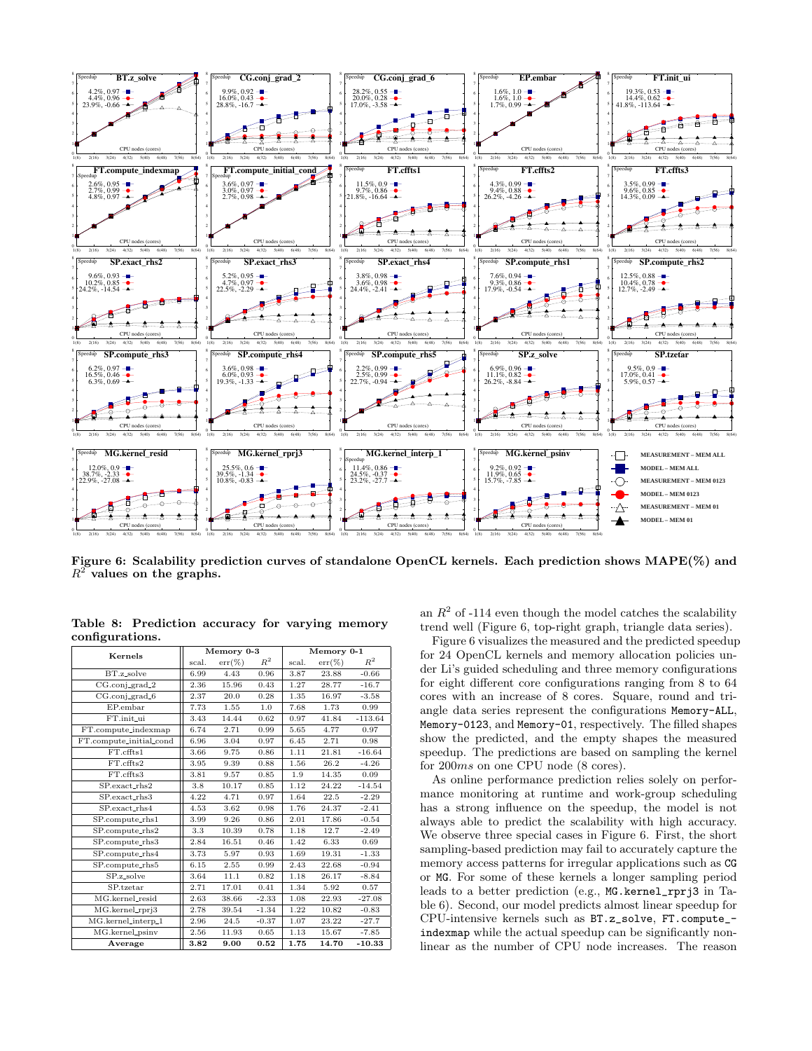

Figure 6: Scalability prediction curves of standalone OpenCL kernels. Each prediction shows MAPE(%) and  $R^2$  values on the graphs.

|                         |       | Memory 0-3 |                | Memory 0-1 |           |                |
|-------------------------|-------|------------|----------------|------------|-----------|----------------|
| Kernels                 | scal. | $err(\%)$  | $\mathbb{R}^2$ | scal.      | $err(\%)$ | $\mathbb{R}^2$ |
| BT.z_solve              | 6.99  | 4.43       | 0.96           | 3.87       | 23.88     | $-0.66$        |
| CG.conj_grad_2          | 2.36  | 15.96      | 0.43           | 1.27       | 28.77     | $-16.7$        |
| $CG.$ conj_grad_6       | 2.37  | 20.0       | 0.28           | 1.35       | 16.97     | $-3.58$        |
| EP.embar                | 7.73  | 1.55       | 1.0            | 7.68       | 1.73      | 0.99           |
| FT.init_ui              | 3.43  | 14.44      | 0.62           | 0.97       | 41.84     | $-113.64$      |
| FT.compute_indexmap     | 6.74  | 2.71       | 0.99           | 5.65       | 4.77      | 0.97           |
| FT.compute_initial_cond | 6.96  | 3.04       | 0.97           | 6.45       | 2.71      | 0.98           |
| FT.cffts1               | 3.66  | 9.75       | 0.86           | 1.11       | 21.81     | $-16.64$       |
| FT.cffts2               | 3.95  | 9.39       | 0.88           | 1.56       | 26.2      | $-4.26$        |
| FT.cffts3               | 3.81  | 9.57       | 0.85           | 1.9        | 14.35     | 0.09           |
| SP.exact_rhs2           | 3.8   | 10.17      | 0.85           | 1.12       | 24.22     | $-14.54$       |
| SP.exact_rhs3           | 4.22  | 4.71       | 0.97           | 1.64       | 22.5      | $-2.29$        |
| SP.exact_rhs4           | 4.53  | 3.62       | 0.98           | 1.76       | 24.37     | $-2.41$        |
| SP.compute_rhs1         | 3.99  | 9.26       | 0.86           | 2.01       | 17.86     | $-0.54$        |
| SP.compute_rhs2         | 3.3   | 10.39      | 0.78           | 1.18       | 12.7      | $-2.49$        |
| SP.compute_rhs3         | 2.84  | 16.51      | 0.46           | 1.42       | 6.33      | 0.69           |
| SP.compute_rhs4         | 3.73  | 5.97       | 0.93           | 1.69       | 19.31     | $-1.33$        |
| SP.compute_rhs5         | 6.15  | 2.55       | 0.99           | 2.43       | 22.68     | $-0.94$        |
| SP.z_solve              | 3.64  | 11.1       | 0.82           | 1.18       | 26.17     | $-8.84$        |
| SP.tzetar               | 2.71  | 17.01      | 0.41           | 1.34       | 5.92      | 0.57           |
| MG.kernel_resid         | 2.63  | 38.66      | $-2.33$        | 1.08       | 22.93     | $-27.08$       |
| MG.kernel_rprj3         | 2.78  | 39.54      | $-1.34$        | 1.22       | 10.82     | $-0.83$        |
| MG.kernel_interp_1      | 2.96  | 24.5       | $-0.37$        | 1.07       | 23.22     | $-27.7$        |
| MG.kernel_psinv         | 2.56  | 11.93      | 0.65           | 1.13       | 15.67     | $-7.85$        |
| Average                 | 3.82  | 9.00       | 0.52           | 1.75       | 14.70     | $-10.33$       |

Table 8: Prediction accuracy for varying memory configurations.

an  $R^2$  of -114 even though the model catches the scalability trend well (Figure 6, top-right graph, triangle data series).

Figure 6 visualizes the measured and the predicted speedup for 24 OpenCL kernels and memory allocation policies under Li's guided scheduling and three memory configurations for eight different core configurations ranging from 8 to 64 cores with an increase of 8 cores. Square, round and triangle data series represent the configurations Memory-ALL, Memory-0123, and Memory-01, respectively. The filled shapes show the predicted, and the empty shapes the measured speedup. The predictions are based on sampling the kernel for 200ms on one CPU node (8 cores).

As online performance prediction relies solely on performance monitoring at runtime and work-group scheduling has a strong influence on the speedup, the model is not always able to predict the scalability with high accuracy. We observe three special cases in Figure 6. First, the short sampling-based prediction may fail to accurately capture the memory access patterns for irregular applications such as CG or MG. For some of these kernels a longer sampling period leads to a better prediction (e.g., MG.kernel\_rprj3 in Table 6). Second, our model predicts almost linear speedup for CPU-intensive kernels such as BT.z\_solve, FT.compute\_ indexmap while the actual speedup can be significantly nonlinear as the number of CPU node increases. The reason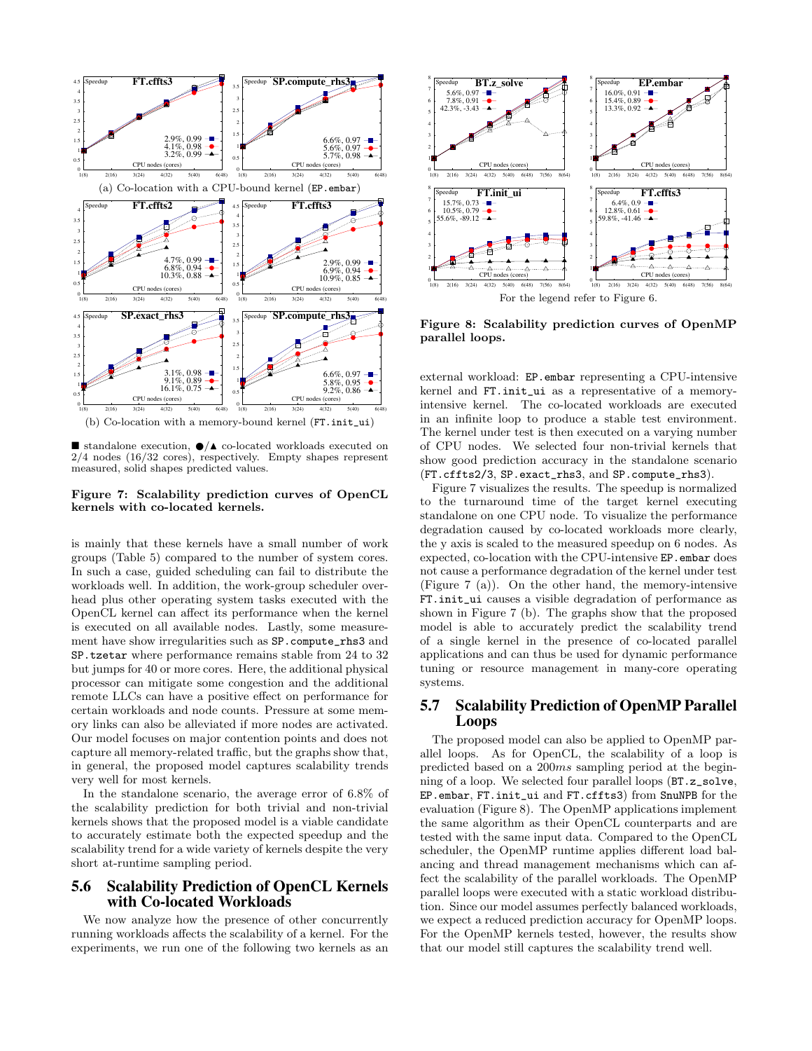

standalone execution,  $\bigcirc/\blacktriangle$  co-located workloads executed on 2/4 nodes (16/32 cores), respectively. Empty shapes represent measured, solid shapes predicted values.

#### Figure 7: Scalability prediction curves of OpenCL kernels with co-located kernels.

is mainly that these kernels have a small number of work groups (Table 5) compared to the number of system cores. In such a case, guided scheduling can fail to distribute the workloads well. In addition, the work-group scheduler overhead plus other operating system tasks executed with the OpenCL kernel can affect its performance when the kernel is executed on all available nodes. Lastly, some measurement have show irregularities such as SP.compute\_rhs3 and SP.tzetar where performance remains stable from 24 to 32 but jumps for 40 or more cores. Here, the additional physical processor can mitigate some congestion and the additional remote LLCs can have a positive effect on performance for certain workloads and node counts. Pressure at some memory links can also be alleviated if more nodes are activated. Our model focuses on major contention points and does not capture all memory-related traffic, but the graphs show that, in general, the proposed model captures scalability trends very well for most kernels.

In the standalone scenario, the average error of 6.8% of the scalability prediction for both trivial and non-trivial kernels shows that the proposed model is a viable candidate to accurately estimate both the expected speedup and the scalability trend for a wide variety of kernels despite the very short at-runtime sampling period.

## 5.6 Scalability Prediction of OpenCL Kernels with Co-located Workloads

We now analyze how the presence of other concurrently running workloads affects the scalability of a kernel. For the experiments, we run one of the following two kernels as an



Figure 8: Scalability prediction curves of OpenMP parallel loops.

external workload: EP.embar representing a CPU-intensive kernel and FT.init\_ui as a representative of a memoryintensive kernel. The co-located workloads are executed in an infinite loop to produce a stable test environment. The kernel under test is then executed on a varying number of CPU nodes. We selected four non-trivial kernels that show good prediction accuracy in the standalone scenario (FT.cffts2/3, SP.exact\_rhs3, and SP.compute\_rhs3).

Figure 7 visualizes the results. The speedup is normalized to the turnaround time of the target kernel executing standalone on one CPU node. To visualize the performance degradation caused by co-located workloads more clearly, the y axis is scaled to the measured speedup on 6 nodes. As expected, co-location with the CPU-intensive EP.embar does not cause a performance degradation of the kernel under test (Figure 7 (a)). On the other hand, the memory-intensive FT.init\_ui causes a visible degradation of performance as shown in Figure 7 (b). The graphs show that the proposed model is able to accurately predict the scalability trend of a single kernel in the presence of co-located parallel applications and can thus be used for dynamic performance tuning or resource management in many-core operating systems.

## 5.7 Scalability Prediction of OpenMP Parallel Loops

The proposed model can also be applied to OpenMP parallel loops. As for OpenCL, the scalability of a loop is predicted based on a 200ms sampling period at the beginning of a loop. We selected four parallel loops (BT.z\_solve, EP.embar, FT.init\_ui and FT.cffts3) from SnuNPB for the evaluation (Figure 8). The OpenMP applications implement the same algorithm as their OpenCL counterparts and are tested with the same input data. Compared to the OpenCL scheduler, the OpenMP runtime applies different load balancing and thread management mechanisms which can affect the scalability of the parallel workloads. The OpenMP parallel loops were executed with a static workload distribution. Since our model assumes perfectly balanced workloads, we expect a reduced prediction accuracy for OpenMP loops. For the OpenMP kernels tested, however, the results show that our model still captures the scalability trend well.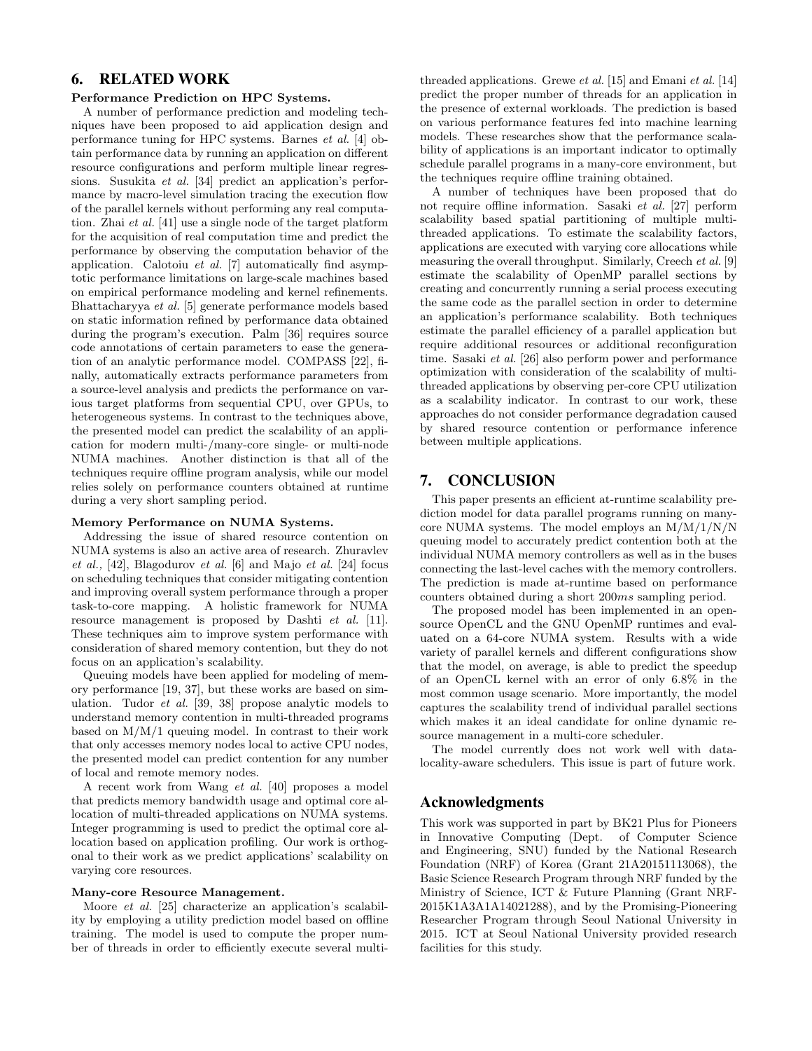# 6. RELATED WORK

#### Performance Prediction on HPC Systems.

A number of performance prediction and modeling techniques have been proposed to aid application design and performance tuning for HPC systems. Barnes et al. [4] obtain performance data by running an application on different resource configurations and perform multiple linear regressions. Susukita et al. [34] predict an application's performance by macro-level simulation tracing the execution flow of the parallel kernels without performing any real computation. Zhai et al. [41] use a single node of the target platform for the acquisition of real computation time and predict the performance by observing the computation behavior of the application. Calotoiu et al. [7] automatically find asymptotic performance limitations on large-scale machines based on empirical performance modeling and kernel refinements. Bhattacharyya et al. [5] generate performance models based on static information refined by performance data obtained during the program's execution. Palm [36] requires source code annotations of certain parameters to ease the generation of an analytic performance model. COMPASS [22], finally, automatically extracts performance parameters from a source-level analysis and predicts the performance on various target platforms from sequential CPU, over GPUs, to heterogeneous systems. In contrast to the techniques above, the presented model can predict the scalability of an application for modern multi-/many-core single- or multi-node NUMA machines. Another distinction is that all of the techniques require offline program analysis, while our model relies solely on performance counters obtained at runtime during a very short sampling period.

#### Memory Performance on NUMA Systems.

Addressing the issue of shared resource contention on NUMA systems is also an active area of research. Zhuravlev et al., [42], Blagodurov et al. [6] and Majo et al. [24] focus on scheduling techniques that consider mitigating contention and improving overall system performance through a proper task-to-core mapping. A holistic framework for NUMA resource management is proposed by Dashti *et al.* [11]. These techniques aim to improve system performance with consideration of shared memory contention, but they do not focus on an application's scalability.

Queuing models have been applied for modeling of memory performance [19, 37], but these works are based on simulation. Tudor et al. [39, 38] propose analytic models to understand memory contention in multi-threaded programs based on M/M/1 queuing model. In contrast to their work that only accesses memory nodes local to active CPU nodes, the presented model can predict contention for any number of local and remote memory nodes.

A recent work from Wang et al. [40] proposes a model that predicts memory bandwidth usage and optimal core allocation of multi-threaded applications on NUMA systems. Integer programming is used to predict the optimal core allocation based on application profiling. Our work is orthogonal to their work as we predict applications' scalability on varying core resources.

#### Many-core Resource Management.

Moore *et al.* [25] characterize an application's scalability by employing a utility prediction model based on offline training. The model is used to compute the proper number of threads in order to efficiently execute several multithreaded applications. Grewe et al. [15] and Emani et al. [14] predict the proper number of threads for an application in the presence of external workloads. The prediction is based on various performance features fed into machine learning models. These researches show that the performance scalability of applications is an important indicator to optimally schedule parallel programs in a many-core environment, but the techniques require offline training obtained.

A number of techniques have been proposed that do not require offline information. Sasaki et al. [27] perform scalability based spatial partitioning of multiple multithreaded applications. To estimate the scalability factors, applications are executed with varying core allocations while measuring the overall throughput. Similarly, Creech et al. [9] estimate the scalability of OpenMP parallel sections by creating and concurrently running a serial process executing the same code as the parallel section in order to determine an application's performance scalability. Both techniques estimate the parallel efficiency of a parallel application but require additional resources or additional reconfiguration time. Sasaki et al. [26] also perform power and performance optimization with consideration of the scalability of multithreaded applications by observing per-core CPU utilization as a scalability indicator. In contrast to our work, these approaches do not consider performance degradation caused by shared resource contention or performance inference between multiple applications.

# 7. CONCLUSION

This paper presents an efficient at-runtime scalability prediction model for data parallel programs running on manycore NUMA systems. The model employs an M/M/1/N/N queuing model to accurately predict contention both at the individual NUMA memory controllers as well as in the buses connecting the last-level caches with the memory controllers. The prediction is made at-runtime based on performance counters obtained during a short 200ms sampling period.

The proposed model has been implemented in an opensource OpenCL and the GNU OpenMP runtimes and evaluated on a 64-core NUMA system. Results with a wide variety of parallel kernels and different configurations show that the model, on average, is able to predict the speedup of an OpenCL kernel with an error of only 6.8% in the most common usage scenario. More importantly, the model captures the scalability trend of individual parallel sections which makes it an ideal candidate for online dynamic resource management in a multi-core scheduler.

The model currently does not work well with datalocality-aware schedulers. This issue is part of future work.

## Acknowledgments

This work was supported in part by BK21 Plus for Pioneers in Innovative Computing (Dept. of Computer Science and Engineering, SNU) funded by the National Research Foundation (NRF) of Korea (Grant 21A20151113068), the Basic Science Research Program through NRF funded by the Ministry of Science, ICT & Future Planning (Grant NRF-2015K1A3A1A14021288), and by the Promising-Pioneering Researcher Program through Seoul National University in 2015. ICT at Seoul National University provided research facilities for this study.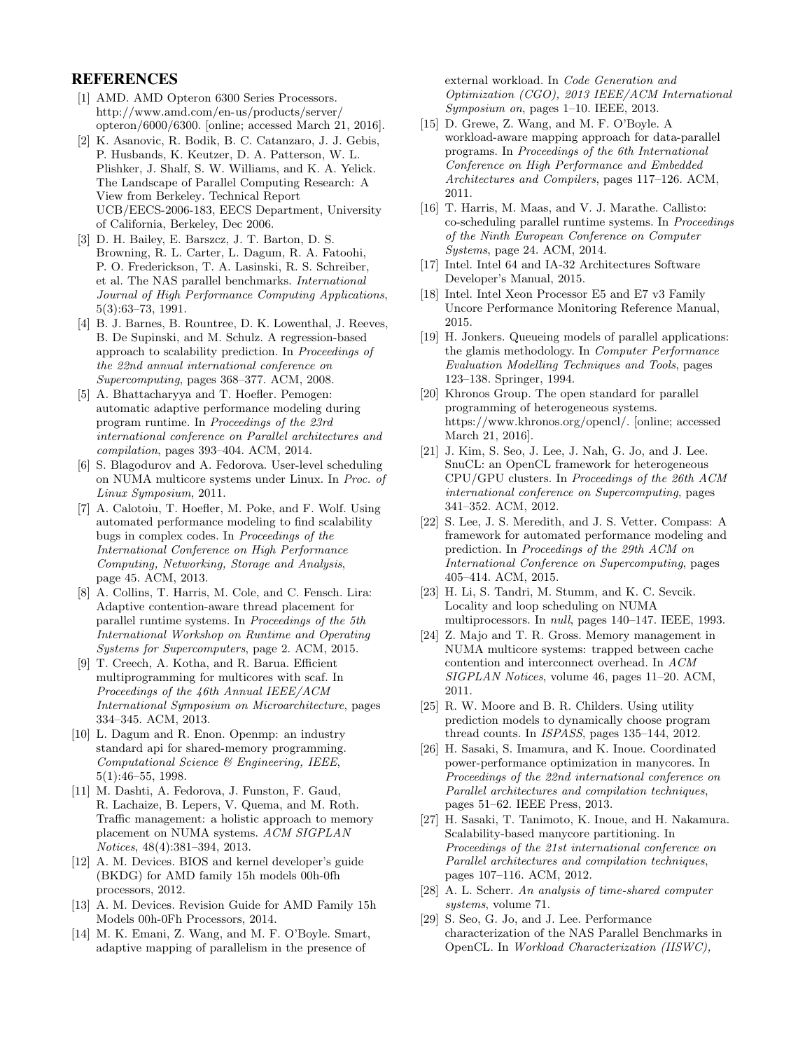## REFERENCES

- [1] AMD. AMD Opteron 6300 Series Processors. http://www.amd.com/en-us/products/server/ opteron/6000/6300. [online; accessed March 21, 2016].
- [2] K. Asanovic, R. Bodik, B. C. Catanzaro, J. J. Gebis, P. Husbands, K. Keutzer, D. A. Patterson, W. L. Plishker, J. Shalf, S. W. Williams, and K. A. Yelick. The Landscape of Parallel Computing Research: A View from Berkeley. Technical Report UCB/EECS-2006-183, EECS Department, University of California, Berkeley, Dec 2006.
- [3] D. H. Bailey, E. Barszcz, J. T. Barton, D. S. Browning, R. L. Carter, L. Dagum, R. A. Fatoohi, P. O. Frederickson, T. A. Lasinski, R. S. Schreiber, et al. The NAS parallel benchmarks. International Journal of High Performance Computing Applications, 5(3):63–73, 1991.
- [4] B. J. Barnes, B. Rountree, D. K. Lowenthal, J. Reeves, B. De Supinski, and M. Schulz. A regression-based approach to scalability prediction. In Proceedings of the 22nd annual international conference on Supercomputing, pages 368–377. ACM, 2008.
- [5] A. Bhattacharyya and T. Hoefler. Pemogen: automatic adaptive performance modeling during program runtime. In Proceedings of the 23rd international conference on Parallel architectures and compilation, pages 393–404. ACM, 2014.
- [6] S. Blagodurov and A. Fedorova. User-level scheduling on NUMA multicore systems under Linux. In Proc. of Linux Symposium, 2011.
- [7] A. Calotoiu, T. Hoefler, M. Poke, and F. Wolf. Using automated performance modeling to find scalability bugs in complex codes. In Proceedings of the International Conference on High Performance Computing, Networking, Storage and Analysis, page 45. ACM, 2013.
- [8] A. Collins, T. Harris, M. Cole, and C. Fensch. Lira: Adaptive contention-aware thread placement for parallel runtime systems. In Proceedings of the 5th International Workshop on Runtime and Operating Systems for Supercomputers, page 2. ACM, 2015.
- [9] T. Creech, A. Kotha, and R. Barua. Efficient multiprogramming for multicores with scaf. In Proceedings of the 46th Annual IEEE/ACM International Symposium on Microarchitecture, pages 334–345. ACM, 2013.
- [10] L. Dagum and R. Enon. Openmp: an industry standard api for shared-memory programming. Computational Science & Engineering, IEEE, 5(1):46–55, 1998.
- [11] M. Dashti, A. Fedorova, J. Funston, F. Gaud, R. Lachaize, B. Lepers, V. Quema, and M. Roth. Traffic management: a holistic approach to memory placement on NUMA systems. ACM SIGPLAN Notices, 48(4):381–394, 2013.
- [12] A. M. Devices. BIOS and kernel developer's guide (BKDG) for AMD family 15h models 00h-0fh processors, 2012.
- [13] A. M. Devices. Revision Guide for AMD Family 15h Models 00h-0Fh Processors, 2014.
- [14] M. K. Emani, Z. Wang, and M. F. O'Boyle. Smart, adaptive mapping of parallelism in the presence of

external workload. In Code Generation and Optimization (CGO), 2013 IEEE/ACM International Symposium on, pages 1–10. IEEE, 2013.

- [15] D. Grewe, Z. Wang, and M. F. O'Boyle. A workload-aware mapping approach for data-parallel programs. In Proceedings of the 6th International Conference on High Performance and Embedded Architectures and Compilers, pages 117–126. ACM, 2011.
- [16] T. Harris, M. Maas, and V. J. Marathe. Callisto: co-scheduling parallel runtime systems. In Proceedings of the Ninth European Conference on Computer Systems, page 24. ACM, 2014.
- [17] Intel. Intel 64 and IA-32 Architectures Software Developer's Manual, 2015.
- [18] Intel. Intel Xeon Processor E5 and E7 v3 Family Uncore Performance Monitoring Reference Manual, 2015.
- [19] H. Jonkers. Queueing models of parallel applications: the glamis methodology. In Computer Performance Evaluation Modelling Techniques and Tools, pages 123–138. Springer, 1994.
- [20] Khronos Group. The open standard for parallel programming of heterogeneous systems. https://www.khronos.org/opencl/. [online; accessed March 21, 2016].
- [21] J. Kim, S. Seo, J. Lee, J. Nah, G. Jo, and J. Lee. SnuCL: an OpenCL framework for heterogeneous CPU/GPU clusters. In Proceedings of the 26th ACM international conference on Supercomputing, pages 341–352. ACM, 2012.
- [22] S. Lee, J. S. Meredith, and J. S. Vetter. Compass: A framework for automated performance modeling and prediction. In Proceedings of the 29th ACM on International Conference on Supercomputing, pages 405–414. ACM, 2015.
- [23] H. Li, S. Tandri, M. Stumm, and K. C. Sevcik. Locality and loop scheduling on NUMA multiprocessors. In null, pages 140–147. IEEE, 1993.
- [24] Z. Majo and T. R. Gross. Memory management in NUMA multicore systems: trapped between cache contention and interconnect overhead. In ACM SIGPLAN Notices, volume 46, pages 11–20. ACM, 2011.
- [25] R. W. Moore and B. R. Childers. Using utility prediction models to dynamically choose program thread counts. In ISPASS, pages 135–144, 2012.
- [26] H. Sasaki, S. Imamura, and K. Inoue. Coordinated power-performance optimization in manycores. In Proceedings of the 22nd international conference on Parallel architectures and compilation techniques, pages 51–62. IEEE Press, 2013.
- [27] H. Sasaki, T. Tanimoto, K. Inoue, and H. Nakamura. Scalability-based manycore partitioning. In Proceedings of the 21st international conference on Parallel architectures and compilation techniques, pages 107–116. ACM, 2012.
- [28] A. L. Scherr. An analysis of time-shared computer systems, volume 71.
- [29] S. Seo, G. Jo, and J. Lee. Performance characterization of the NAS Parallel Benchmarks in OpenCL. In Workload Characterization (IISWC),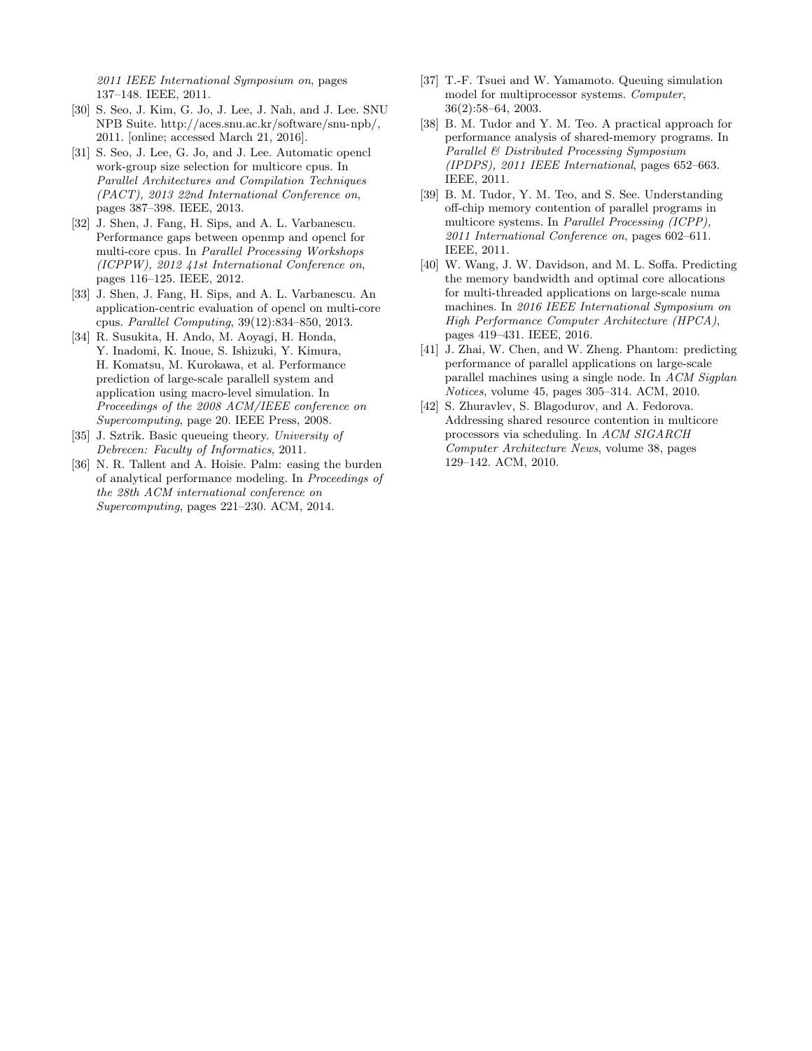2011 IEEE International Symposium on, pages 137–148. IEEE, 2011.

- [30] S. Seo, J. Kim, G. Jo, J. Lee, J. Nah, and J. Lee. SNU NPB Suite. http://aces.snu.ac.kr/software/snu-npb/, 2011. [online; accessed March 21, 2016].
- [31] S. Seo, J. Lee, G. Jo, and J. Lee. Automatic opencl work-group size selection for multicore cpus. In Parallel Architectures and Compilation Techniques (PACT), 2013 22nd International Conference on, pages 387–398. IEEE, 2013.
- [32] J. Shen, J. Fang, H. Sips, and A. L. Varbanescu. Performance gaps between openmp and opencl for multi-core cpus. In Parallel Processing Workshops (ICPPW), 2012 41st International Conference on, pages 116–125. IEEE, 2012.
- [33] J. Shen, J. Fang, H. Sips, and A. L. Varbanescu. An application-centric evaluation of opencl on multi-core cpus. Parallel Computing, 39(12):834–850, 2013.
- [34] R. Susukita, H. Ando, M. Aoyagi, H. Honda, Y. Inadomi, K. Inoue, S. Ishizuki, Y. Kimura, H. Komatsu, M. Kurokawa, et al. Performance prediction of large-scale parallell system and application using macro-level simulation. In Proceedings of the 2008 ACM/IEEE conference on Supercomputing, page 20. IEEE Press, 2008.
- [35] J. Sztrik. Basic queueing theory. University of Debrecen: Faculty of Informatics, 2011.
- [36] N. R. Tallent and A. Hoisie. Palm: easing the burden of analytical performance modeling. In Proceedings of the 28th ACM international conference on Supercomputing, pages 221–230. ACM, 2014.
- [37] T.-F. Tsuei and W. Yamamoto. Queuing simulation model for multiprocessor systems. Computer, 36(2):58–64, 2003.
- [38] B. M. Tudor and Y. M. Teo. A practical approach for performance analysis of shared-memory programs. In Parallel & Distributed Processing Symposium (IPDPS), 2011 IEEE International, pages 652–663. IEEE, 2011.
- [39] B. M. Tudor, Y. M. Teo, and S. See. Understanding off-chip memory contention of parallel programs in multicore systems. In Parallel Processing (ICPP), 2011 International Conference on, pages 602–611. IEEE, 2011.
- [40] W. Wang, J. W. Davidson, and M. L. Soffa. Predicting the memory bandwidth and optimal core allocations for multi-threaded applications on large-scale numa machines. In 2016 IEEE International Symposium on High Performance Computer Architecture (HPCA), pages 419–431. IEEE, 2016.
- [41] J. Zhai, W. Chen, and W. Zheng. Phantom: predicting performance of parallel applications on large-scale parallel machines using a single node. In ACM Sigplan Notices, volume 45, pages 305–314. ACM, 2010.
- [42] S. Zhuravlev, S. Blagodurov, and A. Fedorova. Addressing shared resource contention in multicore processors via scheduling. In ACM SIGARCH Computer Architecture News, volume 38, pages 129–142. ACM, 2010.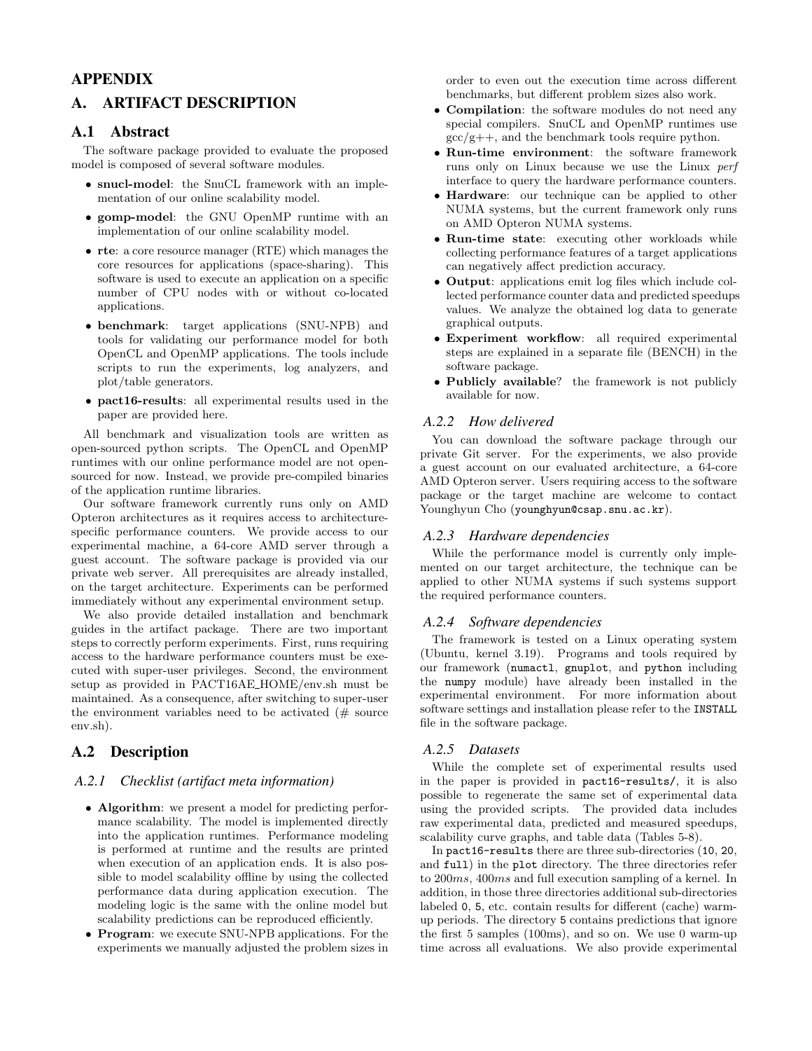# APPENDIX

# A. ARTIFACT DESCRIPTION

## A.1 Abstract

The software package provided to evaluate the proposed model is composed of several software modules.

- snucl-model: the SnuCL framework with an implementation of our online scalability model.
- gomp-model: the GNU OpenMP runtime with an implementation of our online scalability model.
- rte: a core resource manager (RTE) which manages the core resources for applications (space-sharing). This software is used to execute an application on a specific number of CPU nodes with or without co-located applications.
- benchmark: target applications (SNU-NPB) and tools for validating our performance model for both OpenCL and OpenMP applications. The tools include scripts to run the experiments, log analyzers, and plot/table generators.
- pact16-results: all experimental results used in the paper are provided here.

All benchmark and visualization tools are written as open-sourced python scripts. The OpenCL and OpenMP runtimes with our online performance model are not opensourced for now. Instead, we provide pre-compiled binaries of the application runtime libraries.

Our software framework currently runs only on AMD Opteron architectures as it requires access to architecturespecific performance counters. We provide access to our experimental machine, a 64-core AMD server through a guest account. The software package is provided via our private web server. All prerequisites are already installed, on the target architecture. Experiments can be performed immediately without any experimental environment setup.

We also provide detailed installation and benchmark guides in the artifact package. There are two important steps to correctly perform experiments. First, runs requiring access to the hardware performance counters must be executed with super-user privileges. Second, the environment setup as provided in PACT16AE HOME/env.sh must be maintained. As a consequence, after switching to super-user the environment variables need to be activated  $#$  source env.sh).

# A.2 Description

#### *A.2.1 Checklist (artifact meta information)*

- Algorithm: we present a model for predicting performance scalability. The model is implemented directly into the application runtimes. Performance modeling is performed at runtime and the results are printed when execution of an application ends. It is also possible to model scalability offline by using the collected performance data during application execution. The modeling logic is the same with the online model but scalability predictions can be reproduced efficiently.
- Program: we execute SNU-NPB applications. For the experiments we manually adjusted the problem sizes in

order to even out the execution time across different benchmarks, but different problem sizes also work.

- Compilation: the software modules do not need any special compilers. SnuCL and OpenMP runtimes use  $\frac{\text{gcc}}{\text{g}++}$ , and the benchmark tools require python.
- Run-time environment: the software framework runs only on Linux because we use the Linux perf interface to query the hardware performance counters.
- Hardware: our technique can be applied to other NUMA systems, but the current framework only runs on AMD Opteron NUMA systems.
- Run-time state: executing other workloads while collecting performance features of a target applications can negatively affect prediction accuracy.
- Output: applications emit log files which include collected performance counter data and predicted speedups values. We analyze the obtained log data to generate graphical outputs.
- Experiment workflow: all required experimental steps are explained in a separate file (BENCH) in the software package.
- Publicly available? the framework is not publicly available for now.

#### *A.2.2 How delivered*

You can download the software package through our private Git server. For the experiments, we also provide a guest account on our evaluated architecture, a 64-core AMD Opteron server. Users requiring access to the software package or the target machine are welcome to contact Younghyun Cho (younghyun@csap.snu.ac.kr).

#### *A.2.3 Hardware dependencies*

While the performance model is currently only implemented on our target architecture, the technique can be applied to other NUMA systems if such systems support the required performance counters.

#### *A.2.4 Software dependencies*

The framework is tested on a Linux operating system (Ubuntu, kernel 3.19). Programs and tools required by our framework (numactl, gnuplot, and python including the numpy module) have already been installed in the experimental environment. For more information about software settings and installation please refer to the INSTALL file in the software package.

#### *A.2.5 Datasets*

While the complete set of experimental results used in the paper is provided in pact16-results/, it is also possible to regenerate the same set of experimental data using the provided scripts. The provided data includes raw experimental data, predicted and measured speedups, scalability curve graphs, and table data (Tables 5-8).

In pact16-results there are three sub-directories (10, 20, and full) in the plot directory. The three directories refer to 200ms, 400ms and full execution sampling of a kernel. In addition, in those three directories additional sub-directories labeled 0, 5, etc. contain results for different (cache) warmup periods. The directory 5 contains predictions that ignore the first 5 samples (100ms), and so on. We use 0 warm-up time across all evaluations. We also provide experimental